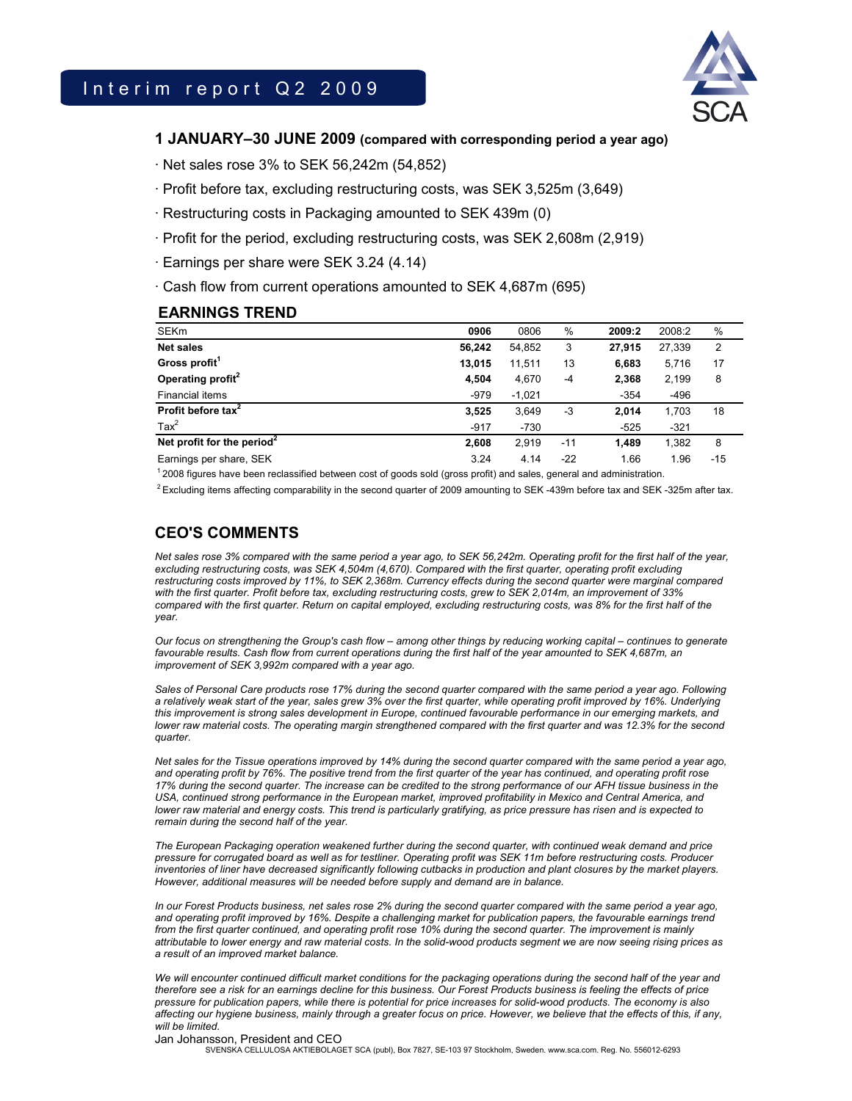

## **1 JANUARY–30 JUNE 2009 (compared with corresponding period a year ago)**

 $\cdot$  Net sales rose 3% to SEK 56,242m (54,852)

- · Profit before tax, excluding restructuring costs, was SEK 3,525m (3,649)
- · Restructuring costs in Packaging amounted to SEK 439m (0)
- · Profit for the period, excluding restructuring costs, was SEK 2,608m (2,919)
- · Earnings per share were SEK 3.24 (4.14)
- · Cash flow from current operations amounted to SEK 4,687m (695)

# **EARNINGS TREND**

| <b>SEKm</b>                                                                                                                                                                                                                                                                                                | 0906   | 0806     | $\%$  | 2009:2 | 2008:2 | %     |  |
|------------------------------------------------------------------------------------------------------------------------------------------------------------------------------------------------------------------------------------------------------------------------------------------------------------|--------|----------|-------|--------|--------|-------|--|
| <b>Net sales</b>                                                                                                                                                                                                                                                                                           | 56.242 | 54.852   | 3     | 27.915 | 27,339 | 2     |  |
| Gross profit <sup>1</sup>                                                                                                                                                                                                                                                                                  | 13.015 | 11,511   | 13    | 6.683  | 5,716  | 17    |  |
| Operating profit <sup>2</sup>                                                                                                                                                                                                                                                                              | 4,504  | 4,670    | $-4$  | 2,368  | 2,199  | 8     |  |
| Financial items                                                                                                                                                                                                                                                                                            | $-979$ | $-1,021$ |       | $-354$ | -496   |       |  |
| Profit before tax <sup>2</sup>                                                                                                                                                                                                                                                                             | 3,525  | 3.649    | -3    | 2.014  | 1,703  | 18    |  |
| $\text{Tax}^2$                                                                                                                                                                                                                                                                                             | $-917$ | $-730$   |       | $-525$ | $-321$ |       |  |
| Net profit for the period <sup>2</sup>                                                                                                                                                                                                                                                                     | 2,608  | 2.919    | $-11$ | 1.489  | 1,382  | 8     |  |
| Earnings per share, SEK                                                                                                                                                                                                                                                                                    | 3.24   | 4.14     | $-22$ | 1.66   | 1.96   | $-15$ |  |
| $\mathbf{1}$ and $\mathbf{1}$ and $\mathbf{1}$ and $\mathbf{1}$ and $\mathbf{1}$ and $\mathbf{1}$ and $\mathbf{1}$ and $\mathbf{1}$ and $\mathbf{1}$ and $\mathbf{1}$ and $\mathbf{1}$ and $\mathbf{1}$ and $\mathbf{1}$ and $\mathbf{1}$ and $\mathbf{1}$ and $\mathbf{1}$ and $\mathbf{1}$ and<br>.<br>. | $-$    |          |       | .      |        |       |  |

 $^1$  2008 figures have been reclassified between cost of goods sold (gross profit) and sales, general and administration.

 $2$  Excluding items affecting comparability in the second quarter of 2009 amounting to SEK -439m before tax and SEK -325m after tax.

# **CEO'S COMMENTS**

*Net sales rose 3% compared with the same period a year ago, to SEK 56,242m. Operating profit for the first half of the year, excluding restructuring costs, was SEK 4,504m (4,670). Compared with the first quarter, operating profit excluding restructuring costs improved by 11%, to SEK 2,368m. Currency effects during the second quarter were marginal compared with the first quarter. Profit before tax, excluding restructuring costs, grew to SEK 2,014m, an improvement of 33% compared with the first quarter. Return on capital employed, excluding restructuring costs, was 8% for the first half of the year.* 

*Our focus on strengthening the Group's cash flow – among other things by reducing working capital – continues to generate*  favourable results. Cash flow from current operations during the first half of the year amounted to SEK 4,687m, an *improvement of SEK 3,992m compared with a year ago.* 

*Sales of Personal Care products rose 17% during the second quarter compared with the same period a year ago. Following a relatively weak start of the year, sales grew 3% over the first quarter, while operating profit improved by 16%. Underlying this improvement is strong sales development in Europe, continued favourable performance in our emerging markets, and lower raw material costs. The operating margin strengthened compared with the first quarter and was 12.3% for the second quarter.* 

*Net sales for the Tissue operations improved by 14% during the second quarter compared with the same period a year ago, and operating profit by 76%. The positive trend from the first quarter of the year has continued, and operating profit rose*  17% during the second quarter. The increase can be credited to the strong performance of our AFH tissue business in the *USA, continued strong performance in the European market, improved profitability in Mexico and Central America, and lower raw material and energy costs. This trend is particularly gratifying, as price pressure has risen and is expected to remain during the second half of the year.* 

*The European Packaging operation weakened further during the second quarter, with continued weak demand and price pressure for corrugated board as well as for testliner. Operating profit was SEK 11m before restructuring costs. Producer inventories of liner have decreased significantly following cutbacks in production and plant closures by the market players. However, additional measures will be needed before supply and demand are in balance.* 

*In our Forest Products business, net sales rose 2% during the second quarter compared with the same period a year ago, and operating profit improved by 16%. Despite a challenging market for publication papers, the favourable earnings trend from the first quarter continued, and operating profit rose 10% during the second quarter. The improvement is mainly attributable to lower energy and raw material costs. In the solid-wood products segment we are now seeing rising prices as a result of an improved market balance.* 

*We will encounter continued difficult market conditions for the packaging operations during the second half of the year and therefore see a risk for an earnings decline for this business. Our Forest Products business is feeling the effects of price pressure for publication papers, while there is potential for price increases for solid-wood products. The economy is also affecting our hygiene business, mainly through a greater focus on price. However, we believe that the effects of this, if any, will be limited.* 

### Jan Johansson, President and CEO

SVENSKA CELLULOSA AKTIEBOLAGET SCA (publ), Box 7827, SE-103 97 Stockholm, Sweden. www.sca.com. Reg. No. 556012-6293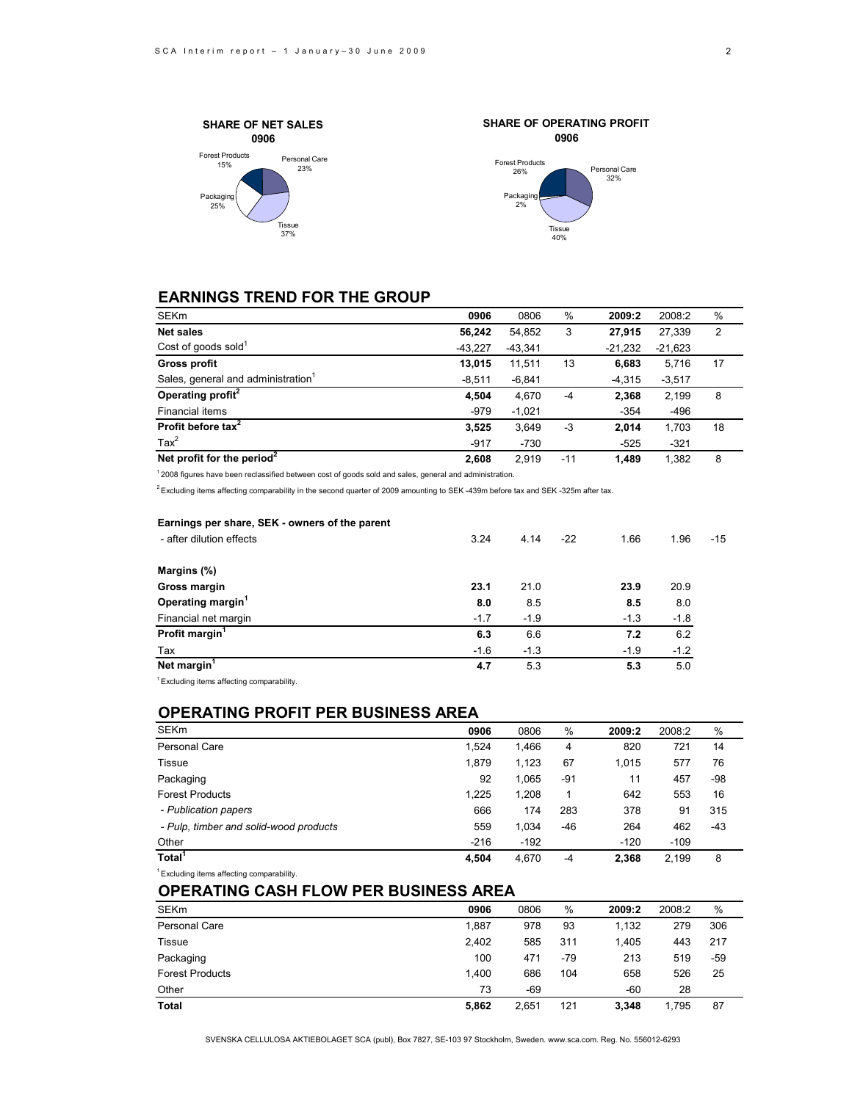



# **EARNINGS TREND FOR THE GROUP**

| SEKm                                           | 0906      | 0806      | %     | 2009:2    | 2008:2    | %  |
|------------------------------------------------|-----------|-----------|-------|-----------|-----------|----|
| <b>Net sales</b>                               | 56.242    | 54,852    | 3     | 27.915    | 27,339    | 2  |
| Cost of goods sold $1$                         | $-43.227$ | $-43,341$ |       | $-21,232$ | $-21,623$ |    |
| <b>Gross profit</b>                            | 13,015    | 11,511    | 13    | 6,683     | 5,716     | 17 |
| Sales, general and administration <sup>1</sup> | $-8,511$  | $-6,841$  |       | $-4,315$  | $-3,517$  |    |
| Operating profit <sup>2</sup>                  | 4,504     | 4,670     | -4    | 2,368     | 2,199     | 8  |
| Financial items                                | $-979$    | $-1,021$  |       | $-354$    | $-496$    |    |
| Profit before tax <sup>2</sup>                 | 3,525     | 3,649     | -3    | 2.014     | 1,703     | 18 |
| $\text{Tax}^2$                                 | $-917$    | $-730$    |       | $-525$    | $-321$    |    |
| Net profit for the period <sup>2</sup>         | 2.608     | 2.919     | $-11$ | 1.489     | 1.382     | 8  |

 $12008$  figures have been reclassified between cost of goods sold and sales, general and administration.

 $^2$  Excluding items affecting comparability in the second quarter of 2009 amounting to SEK -439m before tax and SEK -325m after tax.

| Earnings per share, SEK - owners of the parent |        |        |       |        |        |       |
|------------------------------------------------|--------|--------|-------|--------|--------|-------|
| - after dilution effects                       | 3.24   | 4.14   | $-22$ | 1.66   | 1.96   | $-15$ |
| Margins (%)                                    |        |        |       |        |        |       |
| Gross margin                                   | 23.1   | 21.0   |       | 23.9   | 20.9   |       |
| Operating margin <sup>1</sup>                  | 8.0    | 8.5    |       | 8.5    | 8.0    |       |
| Financial net margin                           | $-1.7$ | $-1.9$ |       | $-1.3$ | $-1.8$ |       |
| Profit margin <sup>1</sup>                     | 6.3    | 6.6    |       | 7.2    | 6.2    |       |
| Tax                                            | $-1.6$ | $-1.3$ |       | $-1.9$ | $-1.2$ |       |
| Net margin <sup>1</sup>                        | 4.7    | 5.3    |       | 5.3    | 5.0    |       |
|                                                |        |        |       |        |        |       |

1 Excluding items affecting comparability.

# **OPERATING PROFIT PER BUSINESS AREA**

| <b>SEKm</b>                            | 0906   | 0806   | %   | 2009:2 | 2008:2 | %     |
|----------------------------------------|--------|--------|-----|--------|--------|-------|
| Personal Care                          | 1.524  | 1.466  | 4   | 820    | 721    | 14    |
| Tissue                                 | 1,879  | 1,123  | 67  | 1,015  | 577    | 76    |
| Packaging                              | 92     | 1.065  | -91 | 11     | 457    | -98   |
| <b>Forest Products</b>                 | 1.225  | 1.208  | 1   | 642    | 553    | 16    |
| - Publication papers                   | 666    | 174    | 283 | 378    | 91     | 315   |
| - Pulp, timber and solid-wood products | 559    | 1,034  | -46 | 264    | 462    | $-43$ |
| Other                                  | $-216$ | $-192$ |     | $-120$ | $-109$ |       |
| Total <sup>1</sup>                     | 4.504  | 4.670  | -4  | 2,368  | 2.199  | 8     |

 $1$  Excluding items affecting comparability.

### **OPERATING CASH FLOW PER BUSINESS AREA**

| <b>SEKm</b>            | 0906  | 0806  | $\%$  | 2009:2 | 2008:2 | %   |
|------------------------|-------|-------|-------|--------|--------|-----|
| <b>Personal Care</b>   | 1,887 | 978   | 93    | 1,132  | 279    | 306 |
| <b>Tissue</b>          | 2,402 | 585   | 311   | 1.405  | 443    | 217 |
| Packaging              | 100   | 471   | $-79$ | 213    | 519    | -59 |
| <b>Forest Products</b> | 1.400 | 686   | 104   | 658    | 526    | 25  |
| Other                  | 73    | $-69$ |       | $-60$  | 28     |     |
| <b>Total</b>           | 5,862 | 2,651 | 121   | 3.348  | 1.795  | 87  |

SVENSKA CELLULOSA AKTIEBOLAGET SCA (publ), Box 7827, SE-103 97 Stockholm, Sweden. www.sca.com. Reg. No. 556012-6293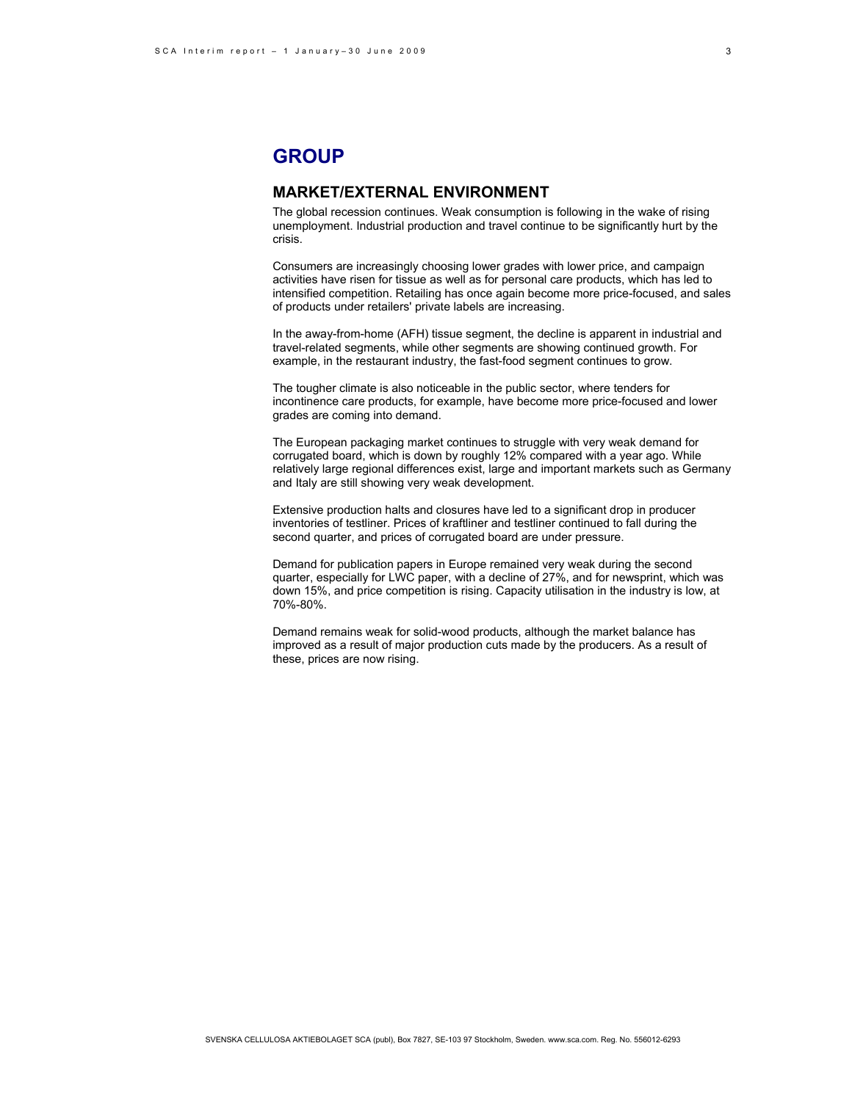# **GROUP**

## **MARKET/EXTERNAL ENVIRONMENT**

The global recession continues. Weak consumption is following in the wake of rising unemployment. Industrial production and travel continue to be significantly hurt by the crisis.

Consumers are increasingly choosing lower grades with lower price, and campaign activities have risen for tissue as well as for personal care products, which has led to intensified competition. Retailing has once again become more price-focused, and sales of products under retailers' private labels are increasing.

In the away-from-home (AFH) tissue segment, the decline is apparent in industrial and travel-related segments, while other segments are showing continued growth. For example, in the restaurant industry, the fast-food segment continues to grow.

The tougher climate is also noticeable in the public sector, where tenders for incontinence care products, for example, have become more price-focused and lower grades are coming into demand.

The European packaging market continues to struggle with very weak demand for corrugated board, which is down by roughly 12% compared with a year ago. While relatively large regional differences exist, large and important markets such as Germany and Italy are still showing very weak development.

Extensive production halts and closures have led to a significant drop in producer inventories of testliner. Prices of kraftliner and testliner continued to fall during the second quarter, and prices of corrugated board are under pressure.

Demand for publication papers in Europe remained very weak during the second quarter, especially for LWC paper, with a decline of 27%, and for newsprint, which was down 15%, and price competition is rising. Capacity utilisation in the industry is low, at 70%-80%.

Demand remains weak for solid-wood products, although the market balance has improved as a result of major production cuts made by the producers. As a result of these, prices are now rising.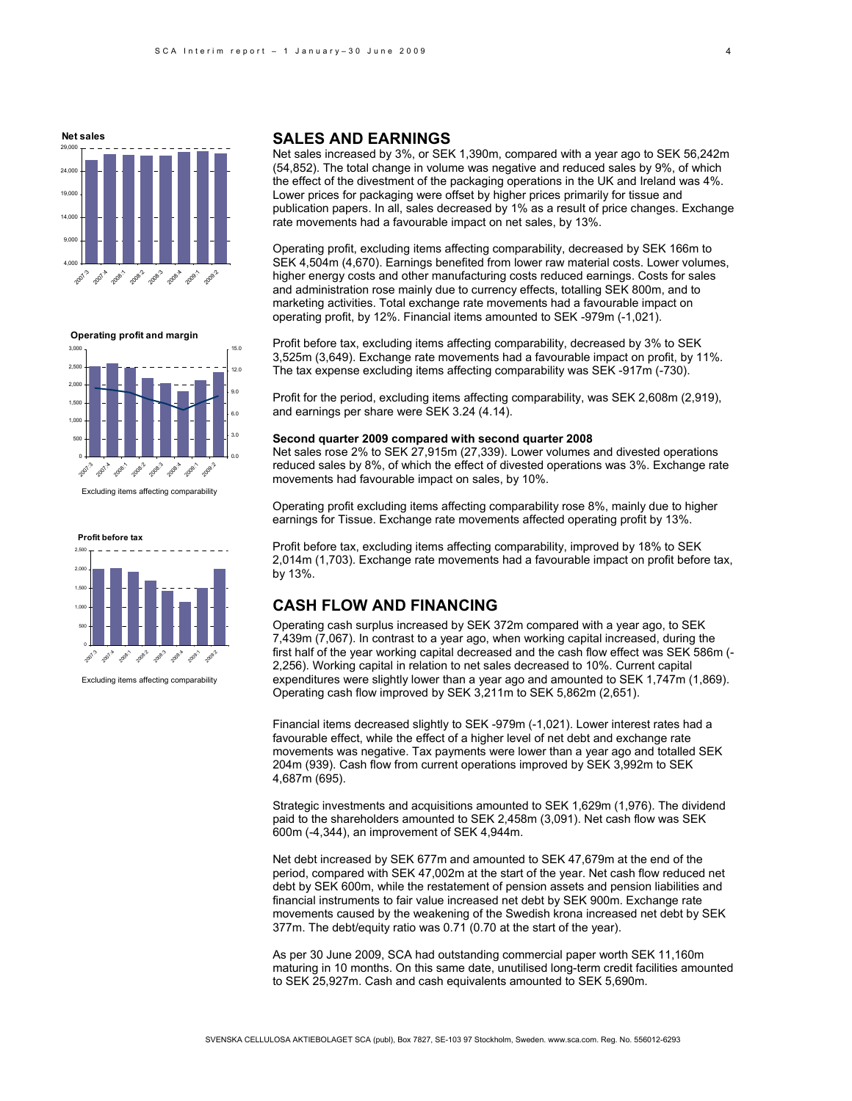

**Operating profit and margin**



Excluding items affecting comparability



Excluding items affecting comparability

### **SALES AND EARNINGS**

Net sales increased by 3%, or SEK 1,390m, compared with a year ago to SEK 56,242m (54,852). The total change in volume was negative and reduced sales by 9%, of which the effect of the divestment of the packaging operations in the UK and Ireland was 4%. Lower prices for packaging were offset by higher prices primarily for tissue and publication papers. In all, sales decreased by 1% as a result of price changes. Exchange rate movements had a favourable impact on net sales, by 13%.

Operating profit, excluding items affecting comparability, decreased by SEK 166m to SEK 4,504m (4,670). Earnings benefited from lower raw material costs. Lower volumes, higher energy costs and other manufacturing costs reduced earnings. Costs for sales and administration rose mainly due to currency effects, totalling SEK 800m, and to marketing activities. Total exchange rate movements had a favourable impact on operating profit, by 12%. Financial items amounted to SEK -979m (-1,021).

Profit before tax, excluding items affecting comparability, decreased by 3% to SEK 3,525m (3,649). Exchange rate movements had a favourable impact on profit, by 11%. The tax expense excluding items affecting comparability was SEK -917m (-730).

Profit for the period, excluding items affecting comparability, was SEK 2,608m (2,919), and earnings per share were SEK 3.24 (4.14).

#### **Second quarter 2009 compared with second quarter 2008**

Net sales rose 2% to SEK 27,915m (27,339). Lower volumes and divested operations reduced sales by 8%, of which the effect of divested operations was 3%. Exchange rate movements had favourable impact on sales, by 10%.

Operating profit excluding items affecting comparability rose 8%, mainly due to higher earnings for Tissue. Exchange rate movements affected operating profit by 13%.

Profit before tax, excluding items affecting comparability, improved by 18% to SEK 2,014m (1,703). Exchange rate movements had a favourable impact on profit before tax, by 13%.

# **CASH FLOW AND FINANCING**

Operating cash surplus increased by SEK 372m compared with a year ago, to SEK 7,439m (7,067). In contrast to a year ago, when working capital increased, during the first half of the year working capital decreased and the cash flow effect was SEK 586m (- 2,256). Working capital in relation to net sales decreased to 10%. Current capital expenditures were slightly lower than a year ago and amounted to SEK 1,747m (1,869). Operating cash flow improved by SEK 3,211m to SEK 5,862m (2,651).

Financial items decreased slightly to SEK -979m (-1,021). Lower interest rates had a favourable effect, while the effect of a higher level of net debt and exchange rate movements was negative. Tax payments were lower than a year ago and totalled SEK 204m (939). Cash flow from current operations improved by SEK 3,992m to SEK 4,687m (695).

Strategic investments and acquisitions amounted to SEK 1,629m (1,976). The dividend paid to the shareholders amounted to SEK 2,458m (3,091). Net cash flow was SEK 600m (-4,344), an improvement of SEK 4,944m.

Net debt increased by SEK 677m and amounted to SEK 47,679m at the end of the period, compared with SEK 47,002m at the start of the year. Net cash flow reduced net debt by SEK 600m, while the restatement of pension assets and pension liabilities and financial instruments to fair value increased net debt by SEK 900m. Exchange rate movements caused by the weakening of the Swedish krona increased net debt by SEK 377m. The debt/equity ratio was 0.71 (0.70 at the start of the year).

As per 30 June 2009, SCA had outstanding commercial paper worth SEK 11,160m maturing in 10 months. On this same date, unutilised long-term credit facilities amounted to SEK 25,927m. Cash and cash equivalents amounted to SEK 5,690m.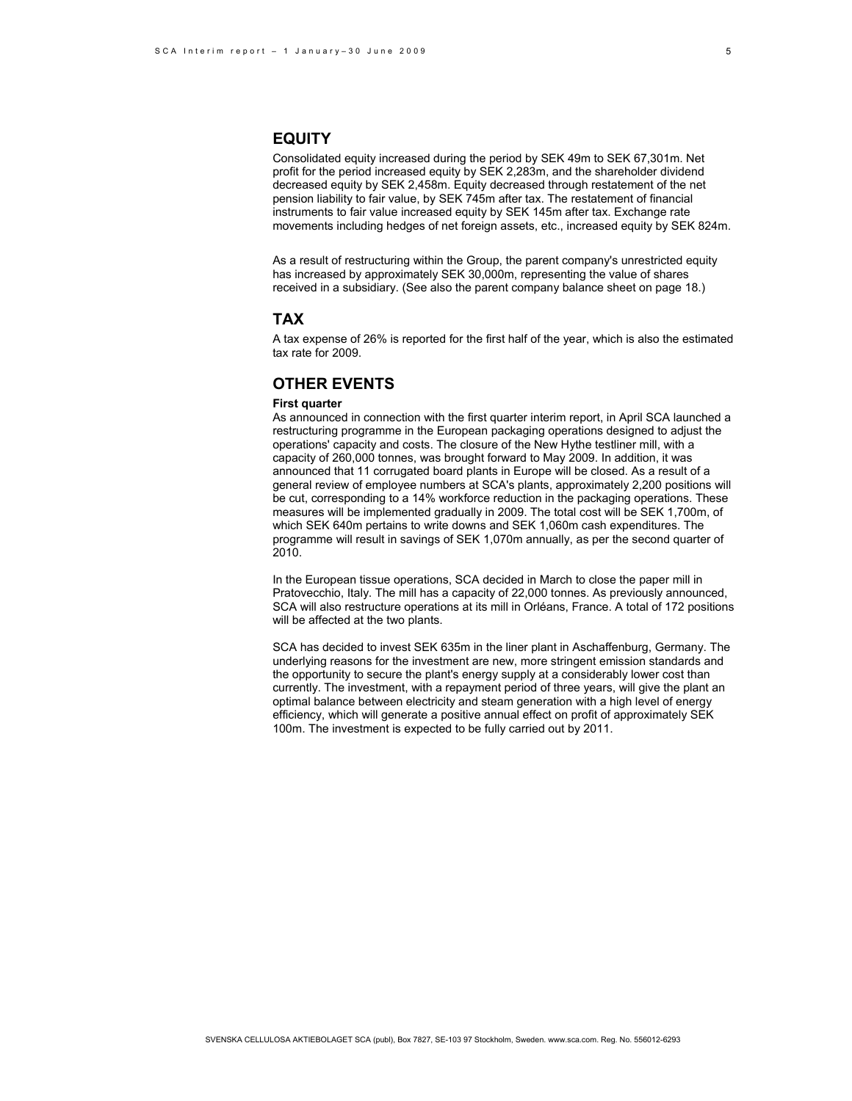# **EQUITY**

Consolidated equity increased during the period by SEK 49m to SEK 67,301m. Net profit for the period increased equity by SEK 2,283m, and the shareholder dividend decreased equity by SEK 2,458m. Equity decreased through restatement of the net pension liability to fair value, by SEK 745m after tax. The restatement of financial instruments to fair value increased equity by SEK 145m after tax. Exchange rate movements including hedges of net foreign assets, etc., increased equity by SEK 824m.

As a result of restructuring within the Group, the parent company's unrestricted equity has increased by approximately SEK 30,000m, representing the value of shares received in a subsidiary. (See also the parent company balance sheet on page 18.)

# **TAX**

A tax expense of 26% is reported for the first half of the year, which is also the estimated tax rate for 2009.

# **OTHER EVENTS**

### **First quarter**

As announced in connection with the first quarter interim report, in April SCA launched a restructuring programme in the European packaging operations designed to adjust the operations' capacity and costs. The closure of the New Hythe testliner mill, with a capacity of 260,000 tonnes, was brought forward to May 2009. In addition, it was announced that 11 corrugated board plants in Europe will be closed. As a result of a general review of employee numbers at SCA's plants, approximately 2,200 positions will be cut, corresponding to a 14% workforce reduction in the packaging operations. These measures will be implemented gradually in 2009. The total cost will be SEK 1,700m, of which SEK 640m pertains to write downs and SEK 1,060m cash expenditures. The programme will result in savings of SEK 1,070m annually, as per the second quarter of 2010.

In the European tissue operations, SCA decided in March to close the paper mill in Pratovecchio, Italy. The mill has a capacity of 22,000 tonnes. As previously announced, SCA will also restructure operations at its mill in Orléans, France. A total of 172 positions will be affected at the two plants.

SCA has decided to invest SEK 635m in the liner plant in Aschaffenburg, Germany. The underlying reasons for the investment are new, more stringent emission standards and the opportunity to secure the plant's energy supply at a considerably lower cost than currently. The investment, with a repayment period of three years, will give the plant an optimal balance between electricity and steam generation with a high level of energy efficiency, which will generate a positive annual effect on profit of approximately SEK 100m. The investment is expected to be fully carried out by 2011.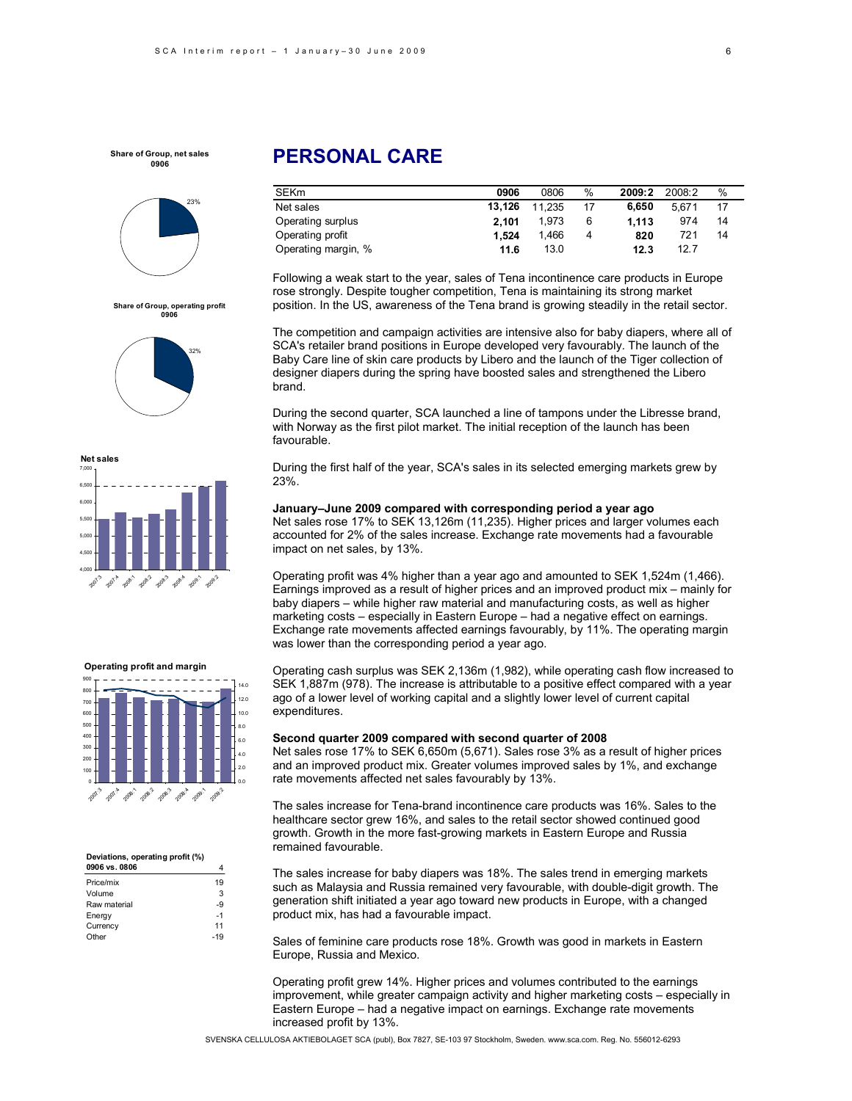

32%

**Share of Group, operating profit 0906**



#### 0 100 200 300 400 500 600 700 800 900 2007.3 200 208: 2009.2 2009:3 2008-A **2009:1** 2009.2 0.0 2.0 4.0 6.0 8.0 10.0 12.0 14.0

#### **Deviations, operating profit (%) 0906 vs. 0806** 4

| Price/mix    | 19    |
|--------------|-------|
| Volume       | 3     |
| Raw material | -9    |
| Energy       | $-1$  |
| Currency     | 11    |
| Other        | $-19$ |

# **PERSONAL CARE**

| <b>SEKm</b>         | 0906   | 0806   | %  | 2009:2 | 2008:2 | %  |
|---------------------|--------|--------|----|--------|--------|----|
| Net sales           | 13.126 | 11.235 | 17 | 6.650  | 5.671  | 17 |
| Operating surplus   | 2.101  | 1.973  | 6  | 1.113  | 974    | 14 |
| Operating profit    | 1.524  | 1.466  | 4  | 820    | 721    | 14 |
| Operating margin, % | 11.6   | 13.0   |    | 12.3   | 12.7   |    |

Following a weak start to the year, sales of Tena incontinence care products in Europe rose strongly. Despite tougher competition, Tena is maintaining its strong market position. In the US, awareness of the Tena brand is growing steadily in the retail sector.

The competition and campaign activities are intensive also for baby diapers, where all of SCA's retailer brand positions in Europe developed very favourably. The launch of the Baby Care line of skin care products by Libero and the launch of the Tiger collection of designer diapers during the spring have boosted sales and strengthened the Libero brand.

During the second quarter, SCA launched a line of tampons under the Libresse brand, with Norway as the first pilot market. The initial reception of the launch has been favourable.

During the first half of the year, SCA's sales in its selected emerging markets grew by 23%.

# **January–June 2009 compared with corresponding period a year ago**  Net sales rose 17% to SEK 13,126m (11,235). Higher prices and larger volumes each

accounted for 2% of the sales increase. Exchange rate movements had a favourable impact on net sales, by 13%.

Operating profit was 4% higher than a year ago and amounted to SEK 1,524m (1,466). Earnings improved as a result of higher prices and an improved product mix – mainly for baby diapers – while higher raw material and manufacturing costs, as well as higher marketing costs – especially in Eastern Europe – had a negative effect on earnings. Exchange rate movements affected earnings favourably, by 11%. The operating margin was lower than the corresponding period a year ago.

Operating cash surplus was SEK 2,136m (1,982), while operating cash flow increased to SEK 1,887m (978). The increase is attributable to a positive effect compared with a year ago of a lower level of working capital and a slightly lower level of current capital expenditures.

#### **Second quarter 2009 compared with second quarter of 2008**

Net sales rose 17% to SEK 6,650m (5,671). Sales rose 3% as a result of higher prices and an improved product mix. Greater volumes improved sales by 1%, and exchange rate movements affected net sales favourably by 13%.

The sales increase for Tena-brand incontinence care products was 16%. Sales to the healthcare sector grew 16%, and sales to the retail sector showed continued good growth. Growth in the more fast-growing markets in Eastern Europe and Russia remained favourable.

The sales increase for baby diapers was 18%. The sales trend in emerging markets such as Malaysia and Russia remained very favourable, with double-digit growth. The generation shift initiated a year ago toward new products in Europe, with a changed product mix, has had a favourable impact.

Sales of feminine care products rose 18%. Growth was good in markets in Eastern Europe, Russia and Mexico.

Operating profit grew 14%. Higher prices and volumes contributed to the earnings improvement, while greater campaign activity and higher marketing costs – especially in Eastern Europe – had a negative impact on earnings. Exchange rate movements increased profit by 13%.

SVENSKA CELLULOSA AKTIEBOLAGET SCA (publ), Box 7827, SE-103 97 Stockholm, Sweden. www.sca.com. Reg. No. 556012-6293

# **Operating profit and margin**

6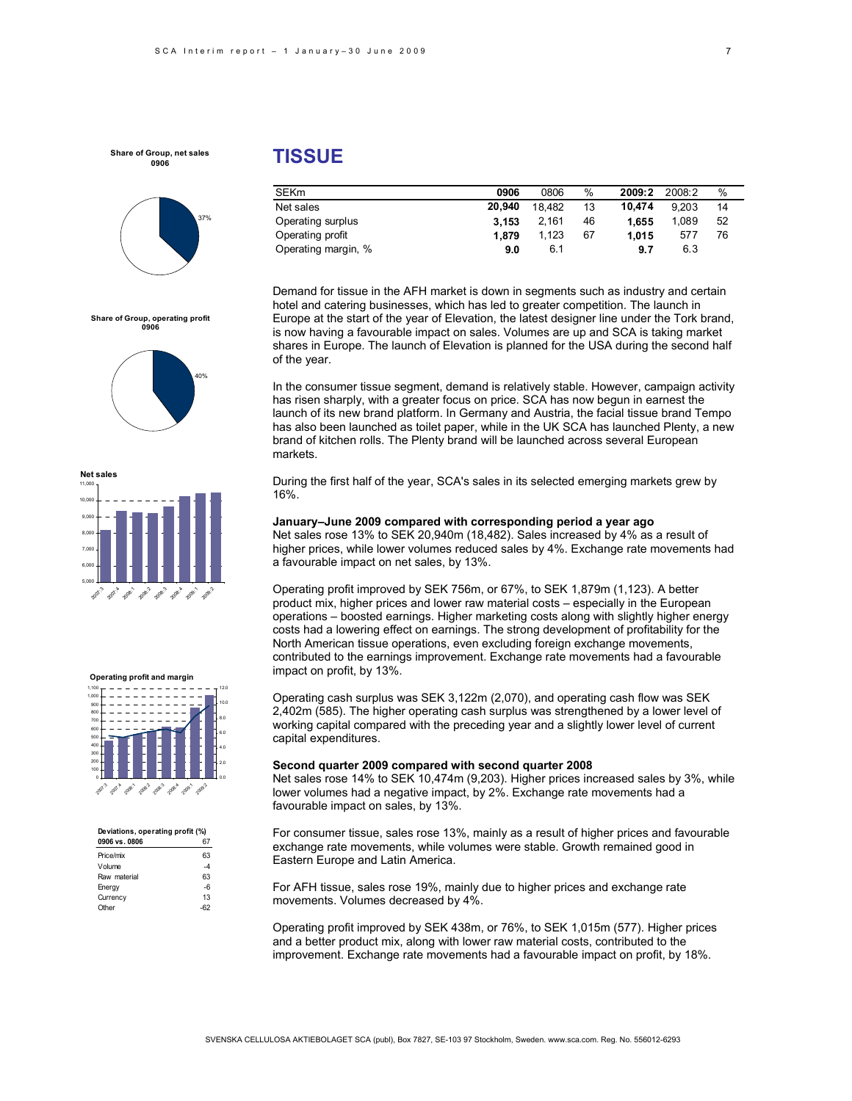

#### **Share of Group, operating profit 0906**







| Deviations, operating profit (%) |      |  |  |  |  |
|----------------------------------|------|--|--|--|--|
| 0906 vs. 0806                    |      |  |  |  |  |
| Price/mix                        | 63   |  |  |  |  |
| Volume                           | -4   |  |  |  |  |
| Raw material                     | 63   |  |  |  |  |
| Energy                           | $-6$ |  |  |  |  |
| Currency                         | 13   |  |  |  |  |
| Other                            |      |  |  |  |  |

# **TISSUE**

| <b>SEKm</b>         | 0906   | 0806   | %  | 2009:2 | 2008:2 | $\%$ |  |
|---------------------|--------|--------|----|--------|--------|------|--|
| Net sales           | 20.940 | 18.482 | 13 | 10.474 | 9.203  | 14   |  |
| Operating surplus   | 3.153  | 2.161  | 46 | 1.655  | 1.089  | 52   |  |
| Operating profit    | 1.879  | 1.123  | 67 | 1.015  | 577    | 76   |  |
| Operating margin, % | 9.0    | 6.1    |    | 9.7    | 6.3    |      |  |

Demand for tissue in the AFH market is down in segments such as industry and certain hotel and catering businesses, which has led to greater competition. The launch in Europe at the start of the year of Elevation, the latest designer line under the Tork brand, is now having a favourable impact on sales. Volumes are up and SCA is taking market shares in Europe. The launch of Elevation is planned for the USA during the second half of the year.

In the consumer tissue segment, demand is relatively stable. However, campaign activity has risen sharply, with a greater focus on price. SCA has now begun in earnest the launch of its new brand platform. In Germany and Austria, the facial tissue brand Tempo has also been launched as toilet paper, while in the UK SCA has launched Plenty, a new brand of kitchen rolls. The Plenty brand will be launched across several European markets.

During the first half of the year, SCA's sales in its selected emerging markets grew by 16%.

### **January–June 2009 compared with corresponding period a year ago**

Net sales rose 13% to SEK 20,940m (18,482). Sales increased by 4% as a result of higher prices, while lower volumes reduced sales by 4%. Exchange rate movements had a favourable impact on net sales, by 13%.

Operating profit improved by SEK 756m, or 67%, to SEK 1,879m (1,123). A better product mix, higher prices and lower raw material costs – especially in the European operations – boosted earnings. Higher marketing costs along with slightly higher energy costs had a lowering effect on earnings. The strong development of profitability for the North American tissue operations, even excluding foreign exchange movements, contributed to the earnings improvement. Exchange rate movements had a favourable impact on profit, by 13%.

Operating cash surplus was SEK 3,122m (2,070), and operating cash flow was SEK 2,402m (585). The higher operating cash surplus was strengthened by a lower level of working capital compared with the preceding year and a slightly lower level of current capital expenditures.

### **Second quarter 2009 compared with second quarter 2008**

Net sales rose 14% to SEK 10,474m (9,203). Higher prices increased sales by 3%, while lower volumes had a negative impact, by 2%. Exchange rate movements had a favourable impact on sales, by 13%.

For consumer tissue, sales rose 13%, mainly as a result of higher prices and favourable exchange rate movements, while volumes were stable. Growth remained good in Eastern Europe and Latin America.

For AFH tissue, sales rose 19%, mainly due to higher prices and exchange rate movements. Volumes decreased by 4%.

Operating profit improved by SEK 438m, or 76%, to SEK 1,015m (577). Higher prices and a better product mix, along with lower raw material costs, contributed to the improvement. Exchange rate movements had a favourable impact on profit, by 18%.

7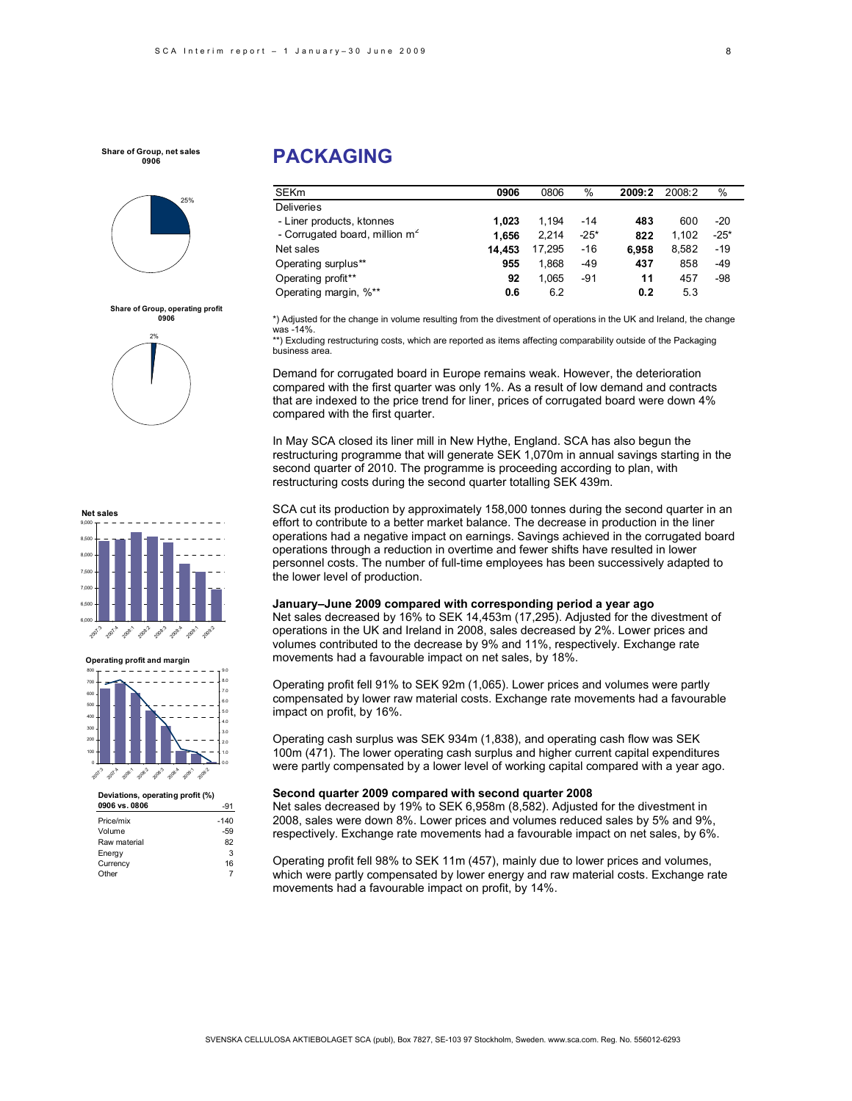

**Share of Group, operating profit 0906** 2%

# **PACKAGING**

| <b>SEKm</b>                       | 0906   | 0806   | %      | 2009:2 | 2008:2 | $\%$   |
|-----------------------------------|--------|--------|--------|--------|--------|--------|
| <b>Deliveries</b>                 |        |        |        |        |        |        |
| - Liner products, ktonnes         | 1.023  | 1.194  | $-14$  | 483    | 600    | $-20$  |
| - Corrugated board, million $m^2$ | 1.656  | 2.214  | $-25*$ | 822    | 1.102  | $-25*$ |
| Net sales                         | 14.453 | 17.295 | $-16$  | 6.958  | 8.582  | $-19$  |
| Operating surplus**               | 955    | 1.868  | $-49$  | 437    | 858    | $-49$  |
| Operating profit**                | 92     | 1,065  | $-91$  | 11     | 457    | -98    |
| Operating margin, %**             | 0.6    | 6.2    |        | 0.2    | 5.3    |        |

\*) Adjusted for the change in volume resulting from the divestment of operations in the UK and Ireland, the change was -14%.

\*\*) Excluding restructuring costs, which are reported as items affecting comparability outside of the Packaging business area.

Demand for corrugated board in Europe remains weak. However, the deterioration compared with the first quarter was only 1%. As a result of low demand and contracts that are indexed to the price trend for liner, prices of corrugated board were down 4% compared with the first quarter.

In May SCA closed its liner mill in New Hythe, England. SCA has also begun the restructuring programme that will generate SEK 1,070m in annual savings starting in the second quarter of 2010. The programme is proceeding according to plan, with restructuring costs during the second quarter totalling SEK 439m.

SCA cut its production by approximately 158,000 tonnes during the second quarter in an effort to contribute to a better market balance. The decrease in production in the liner operations had a negative impact on earnings. Savings achieved in the corrugated board operations through a reduction in overtime and fewer shifts have resulted in lower personnel costs. The number of full-time employees has been successively adapted to the lower level of production.

### **January–June 2009 compared with corresponding period a year ago**

Net sales decreased by 16% to SEK 14,453m (17,295). Adjusted for the divestment of operations in the UK and Ireland in 2008, sales decreased by 2%. Lower prices and volumes contributed to the decrease by 9% and 11%, respectively. Exchange rate movements had a favourable impact on net sales, by 18%.

Operating profit fell 91% to SEK 92m (1,065). Lower prices and volumes were partly compensated by lower raw material costs. Exchange rate movements had a favourable impact on profit, by 16%.

Operating cash surplus was SEK 934m (1,838), and operating cash flow was SEK 100m (471). The lower operating cash surplus and higher current capital expenditures were partly compensated by a lower level of working capital compared with a year ago.

### **Second quarter 2009 compared with second quarter 2008**

Net sales decreased by 19% to SEK 6,958m (8,582). Adjusted for the divestment in 2008, sales were down 8%. Lower prices and volumes reduced sales by 5% and 9%, respectively. Exchange rate movements had a favourable impact on net sales, by 6%.

Operating profit fell 98% to SEK 11m (457), mainly due to lower prices and volumes, which were partly compensated by lower energy and raw material costs. Exchange rate movements had a favourable impact on profit, by 14%.



**Net sales**



**Deviations, operating profit (%)** 

| Deviations, operating profit (%) |        |
|----------------------------------|--------|
| 0906 vs. 0806                    | -91    |
| Price/mix                        | $-140$ |
| Volume                           | -59    |
| Raw material                     | 82     |
| Energy                           | 3      |
| Currency                         | 16     |
| Other                            |        |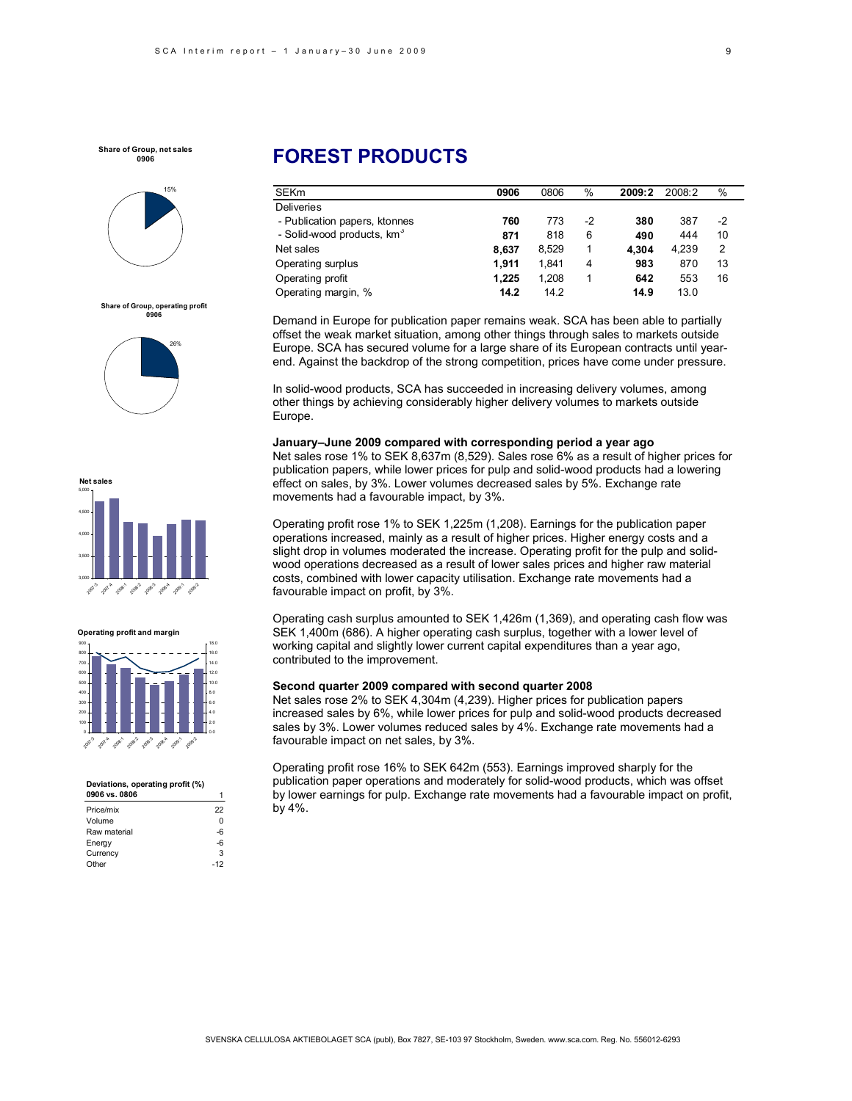

**Share of Group, operating profit 0906**





#### **Operating profit and margin**



#### **Deviations, operating profit (%)**

| 0906 vs. 0806 |       |
|---------------|-------|
| Price/mix     | 22    |
| Volume        | 0     |
| Raw material  | -6    |
| Energy        | -6    |
| Currency      | 3     |
| Other         | $-12$ |
|               |       |

# **FOREST PRODUCTS**

| <b>SEK<sub>m</sub></b>                 | 0906  | 0806  | %  | 2009:2 | 2008:2 | $\%$ |  |
|----------------------------------------|-------|-------|----|--------|--------|------|--|
| <b>Deliveries</b>                      |       |       |    |        |        |      |  |
| - Publication papers, ktonnes          | 760   | 773   | -2 | 380    | 387    | -2   |  |
| - Solid-wood products, km <sup>3</sup> | 871   | 818   | 6  | 490    | 444    | 10   |  |
| Net sales                              | 8.637 | 8.529 | 1  | 4.304  | 4.239  | 2    |  |
| Operating surplus                      | 1.911 | 1.841 | 4  | 983    | 870    | 13   |  |
| Operating profit                       | 1.225 | 1.208 |    | 642    | 553    | 16   |  |
| Operating margin, %                    | 14.2  | 14.2  |    | 14.9   | 13.0   |      |  |

Demand in Europe for publication paper remains weak. SCA has been able to partially offset the weak market situation, among other things through sales to markets outside Europe. SCA has secured volume for a large share of its European contracts until yearend. Against the backdrop of the strong competition, prices have come under pressure.

In solid-wood products, SCA has succeeded in increasing delivery volumes, among other things by achieving considerably higher delivery volumes to markets outside Europe.

### **January–June 2009 compared with corresponding period a year ago**

Net sales rose 1% to SEK 8,637m (8,529). Sales rose 6% as a result of higher prices for publication papers, while lower prices for pulp and solid-wood products had a lowering effect on sales, by 3%. Lower volumes decreased sales by 5%. Exchange rate movements had a favourable impact, by 3%.

Operating profit rose 1% to SEK 1,225m (1,208). Earnings for the publication paper operations increased, mainly as a result of higher prices. Higher energy costs and a slight drop in volumes moderated the increase. Operating profit for the pulp and solidwood operations decreased as a result of lower sales prices and higher raw material costs, combined with lower capacity utilisation. Exchange rate movements had a favourable impact on profit, by 3%.

Operating cash surplus amounted to SEK 1,426m (1,369), and operating cash flow was SEK 1,400m (686). A higher operating cash surplus, together with a lower level of working capital and slightly lower current capital expenditures than a year ago, contributed to the improvement.

### **Second quarter 2009 compared with second quarter 2008**

Net sales rose 2% to SEK 4,304m (4,239). Higher prices for publication papers increased sales by 6%, while lower prices for pulp and solid-wood products decreased sales by 3%. Lower volumes reduced sales by 4%. Exchange rate movements had a favourable impact on net sales, by 3%.

Operating profit rose 16% to SEK 642m (553). Earnings improved sharply for the publication paper operations and moderately for solid-wood products, which was offset by lower earnings for pulp. Exchange rate movements had a favourable impact on profit, by 4%.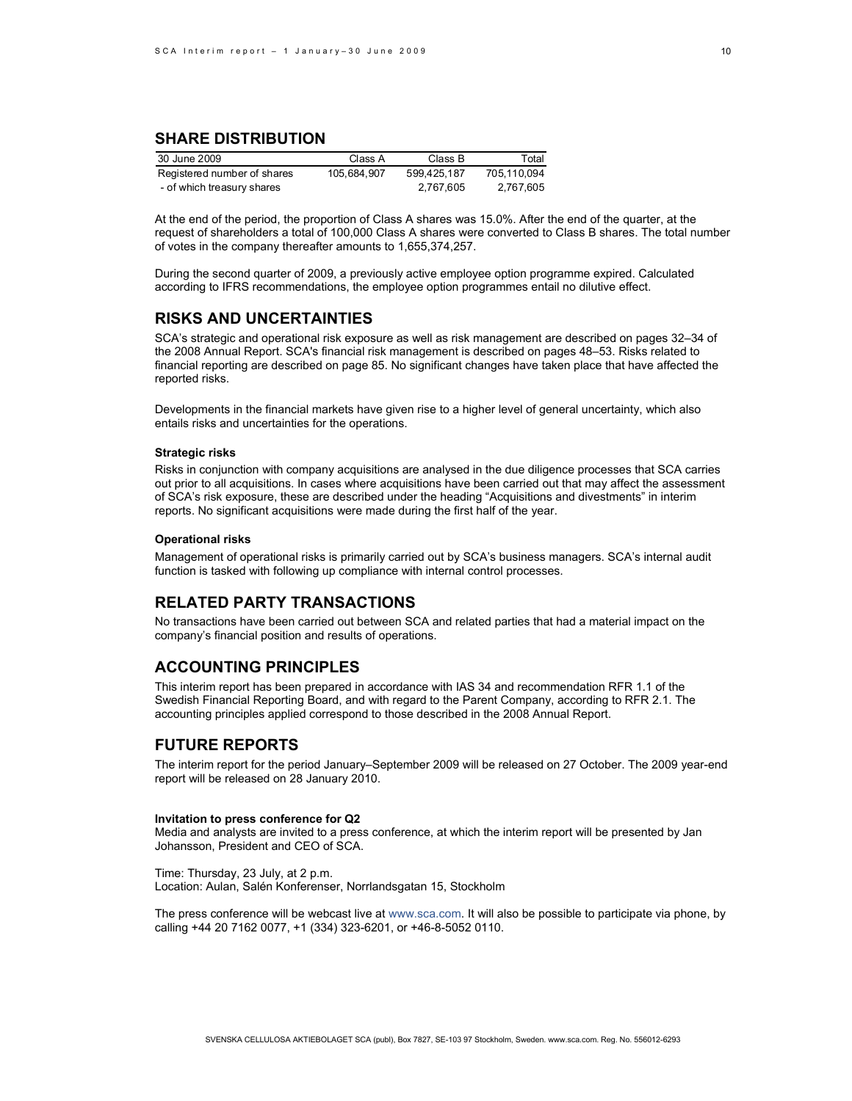# **SHARE DISTRIBUTION**

| 30 June 2009                | Class A     | Class B     | Total       |
|-----------------------------|-------------|-------------|-------------|
| Registered number of shares | 105.684.907 | 599.425.187 | 705.110.094 |
| - of which treasury shares  |             | 2.767.605   | 2.767.605   |

At the end of the period, the proportion of Class A shares was 15.0%. After the end of the quarter, at the request of shareholders a total of 100,000 Class A shares were converted to Class B shares. The total number of votes in the company thereafter amounts to 1,655,374,257.

During the second quarter of 2009, a previously active employee option programme expired. Calculated according to IFRS recommendations, the employee option programmes entail no dilutive effect.

### **RISKS AND UNCERTAINTIES**

SCA's strategic and operational risk exposure as well as risk management are described on pages 32–34 of the 2008 Annual Report. SCA's financial risk management is described on pages 48–53. Risks related to financial reporting are described on page 85. No significant changes have taken place that have affected the reported risks.

Developments in the financial markets have given rise to a higher level of general uncertainty, which also entails risks and uncertainties for the operations.

### **Strategic risks**

Risks in conjunction with company acquisitions are analysed in the due diligence processes that SCA carries out prior to all acquisitions. In cases where acquisitions have been carried out that may affect the assessment of SCA's risk exposure, these are described under the heading "Acquisitions and divestments" in interim reports. No significant acquisitions were made during the first half of the year.

### **Operational risks**

Management of operational risks is primarily carried out by SCA's business managers. SCA's internal audit function is tasked with following up compliance with internal control processes.

### **RELATED PARTY TRANSACTIONS**

No transactions have been carried out between SCA and related parties that had a material impact on the company's financial position and results of operations.

## **ACCOUNTING PRINCIPLES**

This interim report has been prepared in accordance with IAS 34 and recommendation RFR 1.1 of the Swedish Financial Reporting Board, and with regard to the Parent Company, according to RFR 2.1. The accounting principles applied correspond to those described in the 2008 Annual Report.

# **FUTURE REPORTS**

The interim report for the period January–September 2009 will be released on 27 October. The 2009 year-end report will be released on 28 January 2010.

### **Invitation to press conference for Q2**

Media and analysts are invited to a press conference, at which the interim report will be presented by Jan Johansson, President and CEO of SCA.

Time: Thursday, 23 July, at 2 p.m. Location: Aulan, Salén Konferenser, Norrlandsgatan 15, Stockholm

The press conference will be webcast live at www.sca.com. It will also be possible to participate via phone, by calling +44 20 7162 0077, +1 (334) 323-6201, or +46-8-5052 0110.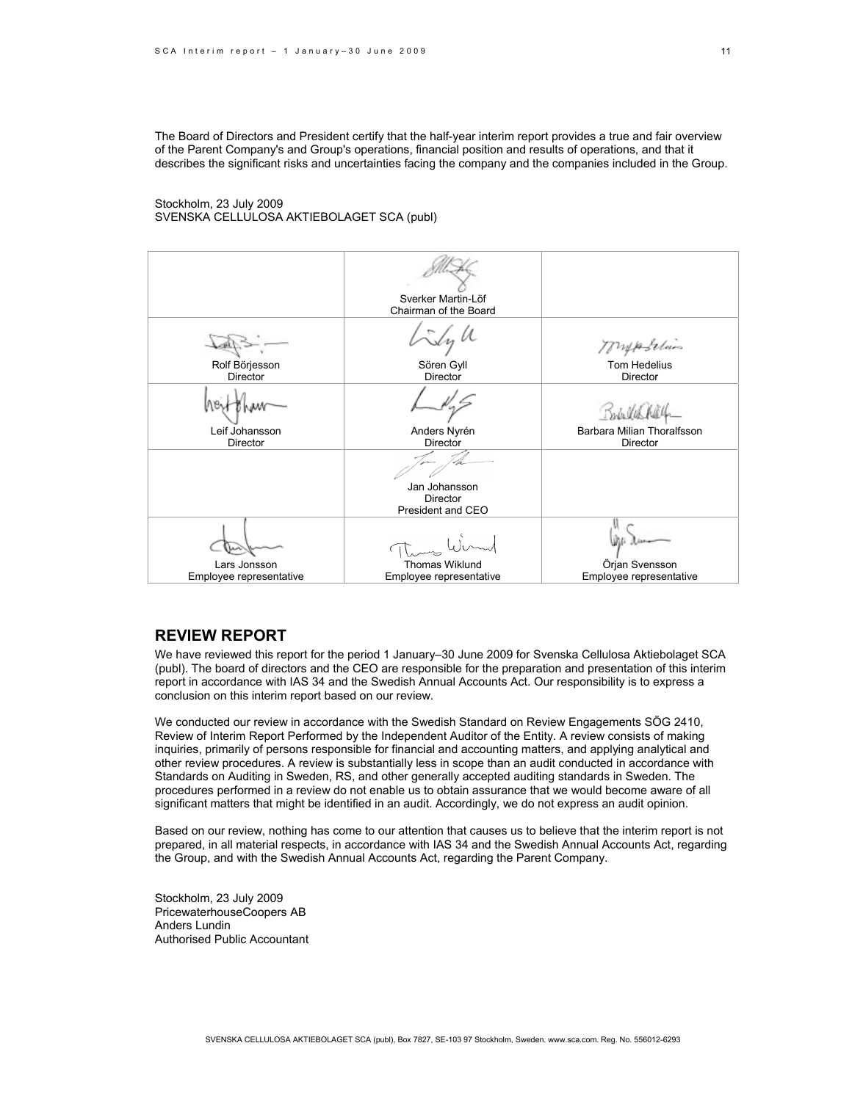The Board of Directors and President certify that the half-year interim report provides a true and fair overview of the Parent Company's and Group's operations, financial position and results of operations, and that it describes the significant risks and uncertainties facing the company and the companies included in the Group.

### Stockholm, 23 July 2009 SVENSKA CELLULOSA AKTIEBOLAGET SCA (publ)

|                            | Sverker Martin-Löf<br>Chairman of the Board |                                           |
|----------------------------|---------------------------------------------|-------------------------------------------|
| Rolf Börjesson             | $\frac{1}{2}$<br>Sören Gyll                 | Mypolines<br>Tom Hedelius                 |
| <b>Director</b>            | Director                                    | Director                                  |
|                            |                                             |                                           |
| Leif Johansson<br>Director | Anders Nyrén<br>Director                    | Barbara Milian Thoralfsson<br>Director    |
|                            | Jan Johansson                               |                                           |
|                            | Director<br>President and CEO               |                                           |
|                            |                                             |                                           |
| Lars Jonsson               | <b>Thomas Wiklund</b>                       | Örjan Svensson<br>Employee representative |
| Employee representative    | Employee representative                     |                                           |

### **REVIEW REPORT**

We have reviewed this report for the period 1 January–30 June 2009 for Svenska Cellulosa Aktiebolaget SCA (publ). The board of directors and the CEO are responsible for the preparation and presentation of this interim report in accordance with IAS 34 and the Swedish Annual Accounts Act. Our responsibility is to express a conclusion on this interim report based on our review.

We conducted our review in accordance with the Swedish Standard on Review Engagements SÖG 2410, Review of Interim Report Performed by the Independent Auditor of the Entity. A review consists of making inquiries, primarily of persons responsible for financial and accounting matters, and applying analytical and other review procedures. A review is substantially less in scope than an audit conducted in accordance with Standards on Auditing in Sweden, RS, and other generally accepted auditing standards in Sweden. The procedures performed in a review do not enable us to obtain assurance that we would become aware of all significant matters that might be identified in an audit. Accordingly, we do not express an audit opinion.

Based on our review, nothing has come to our attention that causes us to believe that the interim report is not prepared, in all material respects, in accordance with IAS 34 and the Swedish Annual Accounts Act, regarding the Group, and with the Swedish Annual Accounts Act, regarding the Parent Company.

Stockholm, 23 July 2009 PricewaterhouseCoopers AB Anders Lundin Authorised Public Accountant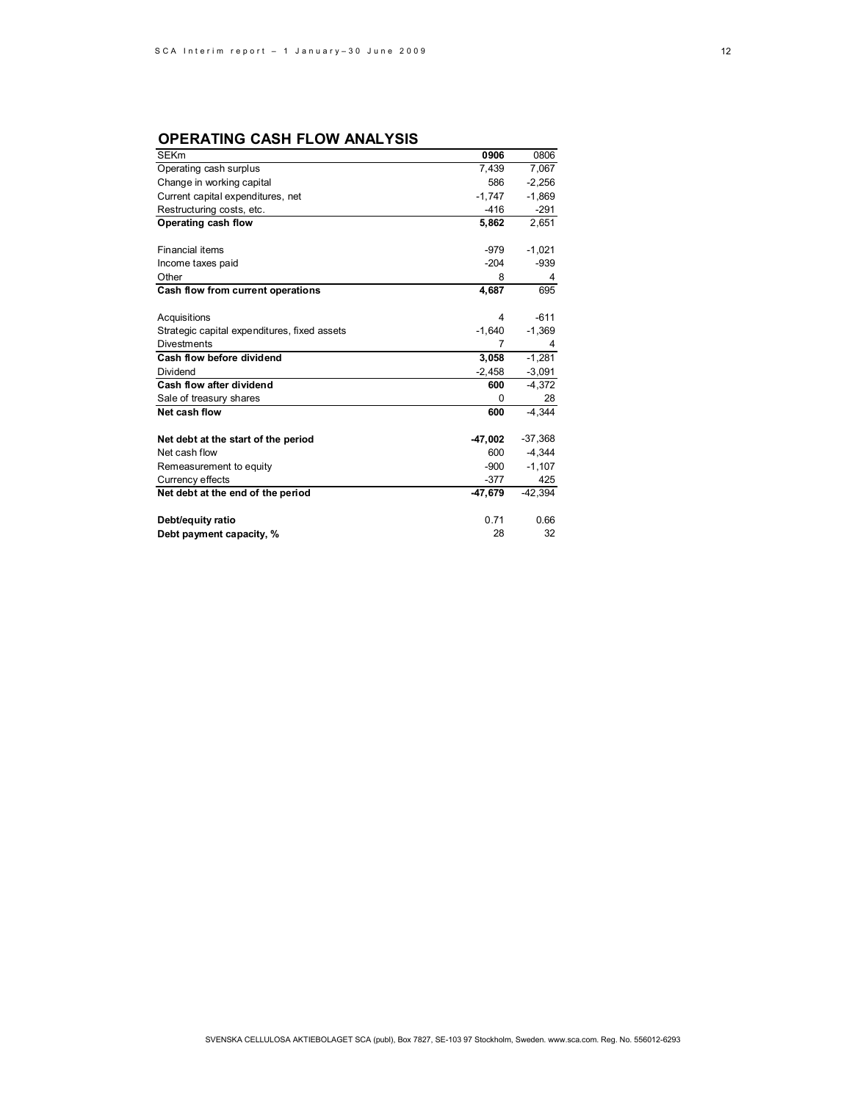# **OPERATING CASH FLOW ANALYSIS**

| <b>SEKm</b>                                  | 0906      | 0806      |
|----------------------------------------------|-----------|-----------|
| Operating cash surplus                       | 7,439     | 7,067     |
| Change in working capital                    | 586       | $-2,256$  |
| Current capital expenditures, net            | $-1,747$  | $-1,869$  |
| Restructuring costs, etc.                    | $-416$    | $-291$    |
| Operating cash flow                          | 5,862     | 2,651     |
|                                              |           |           |
| <b>Financial items</b>                       | -979      | $-1,021$  |
| Income taxes paid                            | $-204$    | $-939$    |
| Other                                        | 8         | 4         |
| Cash flow from current operations            | 4,687     | 695       |
|                                              |           |           |
| Acquisitions                                 | 4         | $-611$    |
| Strategic capital expenditures, fixed assets | $-1,640$  | $-1,369$  |
| <b>Divestments</b>                           | 7         | 4         |
| Cash flow before dividend                    | 3,058     | $-1,281$  |
| Dividend                                     | $-2,458$  | $-3,091$  |
| Cash flow after dividend                     | 600       | $-4,372$  |
| Sale of treasury shares                      | 0         | 28        |
| Net cash flow                                | 600       | $-4.344$  |
|                                              |           |           |
| Net debt at the start of the period          | $-47,002$ | $-37,368$ |
| Net cash flow                                | 600       | $-4,344$  |
| Remeasurement to equity                      | $-900$    | $-1,107$  |
| Currency effects                             | $-377$    | 425       |
| Net debt at the end of the period            | $-47,679$ | $-42,394$ |
|                                              |           |           |
| Debt/equity ratio                            | 0.71      | 0.66      |
| Debt payment capacity, %                     | 28        | 32        |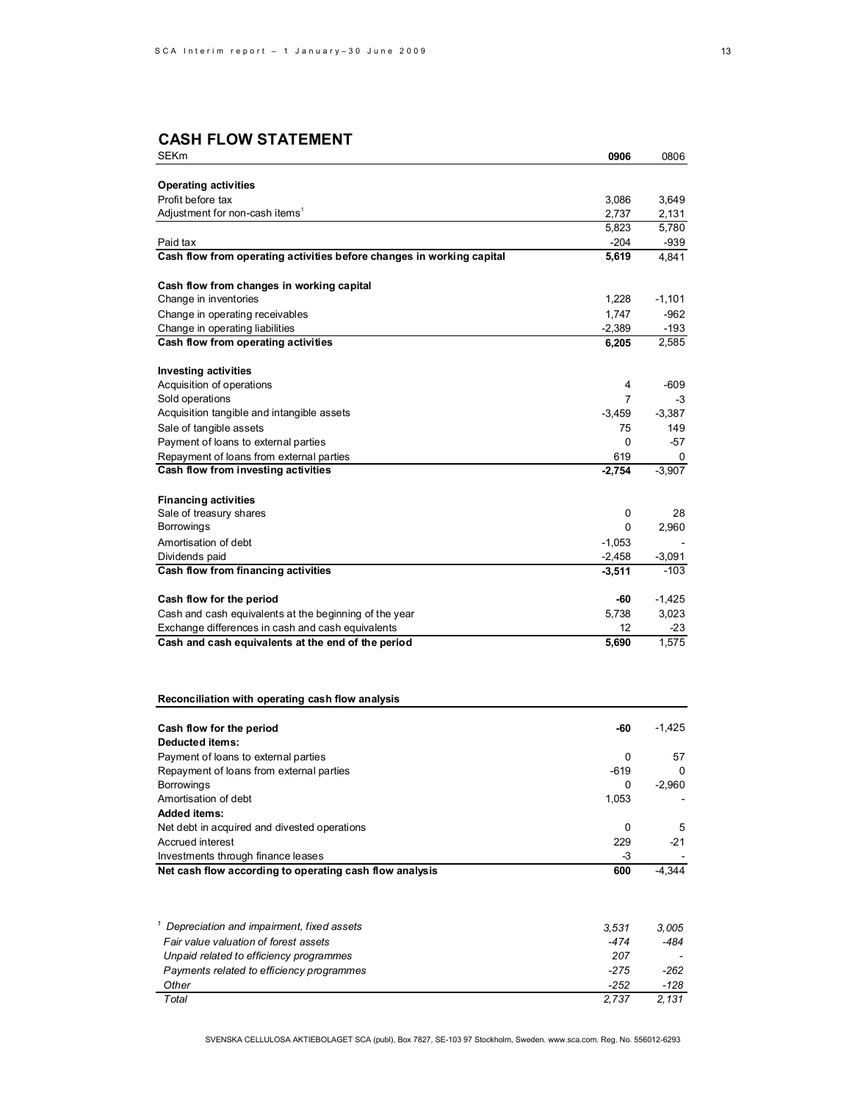# **CASH FLOW STATEMENT**

| SEKm                                                                  | 0906           | 0806           |
|-----------------------------------------------------------------------|----------------|----------------|
|                                                                       |                |                |
| <b>Operating activities</b>                                           |                |                |
| Profit before tax<br>Adjustment for non-cash items <sup>1</sup>       | 3,086          | 3,649          |
|                                                                       | 2,737<br>5,823 | 2,131<br>5,780 |
| Paid tax                                                              | $-204$         | $-939$         |
| Cash flow from operating activities before changes in working capital | 5,619          | 4,841          |
|                                                                       |                |                |
| Cash flow from changes in working capital                             |                |                |
| Change in inventories                                                 | 1,228          | $-1,101$       |
| Change in operating receivables                                       | 1,747          | $-962$         |
| Change in operating liabilities                                       | $-2,389$       | $-193$         |
| Cash flow from operating activities                                   | 6,205          | 2,585          |
|                                                                       |                |                |
| <b>Investing activities</b>                                           |                |                |
| Acquisition of operations                                             | 4<br>7         | -609           |
| Sold operations                                                       |                | -3             |
| Acquisition tangible and intangible assets                            | $-3,459$       | $-3,387$       |
| Sale of tangible assets                                               | 75             | 149            |
| Payment of loans to external parties                                  | 0              | -57            |
| Repayment of loans from external parties                              | 619            | 0              |
| Cash flow from investing activities                                   | $-2,754$       | $-3,907$       |
| <b>Financing activities</b>                                           |                |                |
| Sale of treasury shares                                               | 0              | 28             |
| Borrowings                                                            | 0              | 2,960          |
| Amortisation of debt                                                  | $-1,053$       |                |
| Dividends paid                                                        | $-2,458$       | $-3,091$       |
| Cash flow from financing activities                                   | $-3,511$       | -103           |
|                                                                       |                |                |
| Cash flow for the period                                              | -60            | $-1,425$       |
| Cash and cash equivalents at the beginning of the year                | 5,738          | 3,023          |
| Exchange differences in cash and cash equivalents                     | 12             | -23            |
| Cash and cash equivalents at the end of the period                    | 5,690          | 1,575          |
|                                                                       |                |                |
| Reconciliation with operating cash flow analysis                      |                |                |
| Cash flow for the period                                              | -60            | $-1,425$       |
| Deducted items:                                                       |                |                |
| Payment of loans to external parties                                  | 0              | 57             |
| Repayment of loans from external parties                              | $-619$         | 0              |
| Borrowings                                                            | 0              | $-2,960$       |
| Amortisation of debt                                                  | 1,053          |                |
| <b>Added items:</b>                                                   |                |                |
| Net debt in acquired and divested operations                          | 0              | 5              |
| Accrued interest                                                      | 229            | $-21$          |
| Investments through finance leases                                    | -3             |                |
| Net cash flow according to operating cash flow analysis               | 600            | -4,344         |
|                                                                       |                |                |
| <sup>1</sup> Depreciation and impairment, fixed assets                | 3,531          | 3,005          |
| Fair value valuation of forest assets                                 | -474           | -484           |
| Unpaid related to efficiency programmes                               | 207            |                |
| Payments related to efficiency programmes                             | $-275$         | -262           |
| Other                                                                 | $-252$         | -128           |
| Total                                                                 | 2,737          | 2,131          |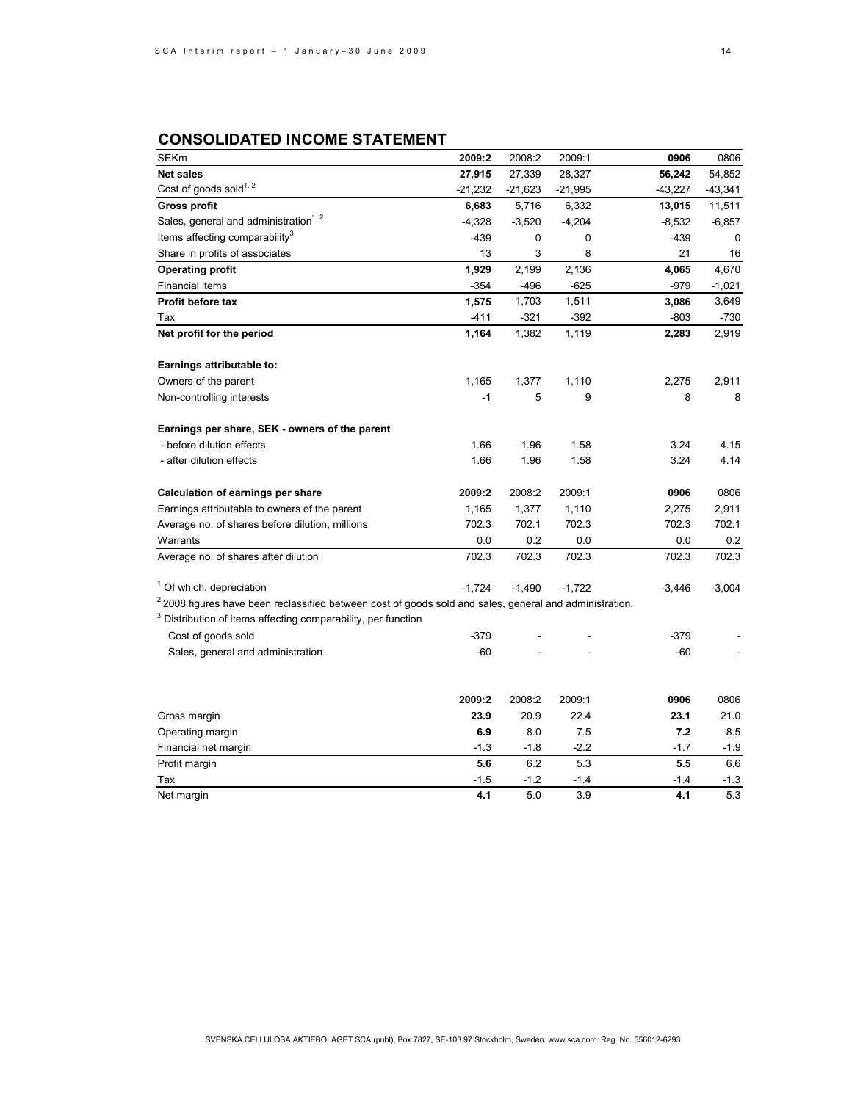# **CONSOLIDATED INCOME STATEMENT**

| <b>SEKm</b>                                                                                              | 2009:2    | 2008:2    | 2009:1    | 0906      | 0806      |
|----------------------------------------------------------------------------------------------------------|-----------|-----------|-----------|-----------|-----------|
| <b>Net sales</b>                                                                                         | 27,915    | 27,339    | 28,327    | 56,242    | 54,852    |
| Cost of goods sold <sup>1.2</sup>                                                                        | $-21,232$ | $-21,623$ | $-21,995$ | $-43,227$ | $-43,341$ |
| <b>Gross profit</b>                                                                                      | 6,683     | 5,716     | 6,332     | 13,015    | 11,511    |
| Sales, general and administration <sup>1.2</sup>                                                         | $-4,328$  | $-3,520$  | $-4,204$  | $-8,532$  | $-6,857$  |
| Items affecting comparability <sup>3</sup>                                                               | $-439$    | 0         | 0         | $-439$    | 0         |
| Share in profits of associates                                                                           | 13        | 3         | 8         | 21        | 16        |
| <b>Operating profit</b>                                                                                  | 1,929     | 2,199     | 2,136     | 4,065     | 4,670     |
| Financial items                                                                                          | $-354$    | $-496$    | $-625$    | $-979$    | $-1,021$  |
| Profit before tax                                                                                        | 1,575     | 1,703     | 1,511     | 3,086     | 3,649     |
| Tax                                                                                                      | $-411$    | $-321$    | $-392$    | $-803$    | -730      |
| Net profit for the period                                                                                | 1,164     | 1,382     | 1,119     | 2,283     | 2,919     |
| Earnings attributable to:                                                                                |           |           |           |           |           |
| Owners of the parent                                                                                     | 1,165     | 1,377     | 1,110     | 2,275     | 2,911     |
| Non-controlling interests                                                                                | $-1$      | 5         | 9         | 8         | 8         |
| Earnings per share, SEK - owners of the parent                                                           |           |           |           |           |           |
| - before dilution effects                                                                                | 1.66      | 1.96      | 1.58      | 3.24      | 4.15      |
| - after dilution effects                                                                                 | 1.66      | 1.96      | 1.58      | 3.24      | 4.14      |
| <b>Calculation of earnings per share</b>                                                                 | 2009:2    | 2008:2    | 2009:1    | 0906      | 0806      |
| Earnings attributable to owners of the parent                                                            | 1,165     | 1,377     | 1,110     | 2,275     | 2,911     |
| Average no. of shares before dilution, millions                                                          | 702.3     | 702.1     | 702.3     | 702.3     | 702.1     |
| Warrants                                                                                                 | 0.0       | 0.2       | 0.0       | 0.0       | 0.2       |
| Average no. of shares after dilution                                                                     | 702.3     | 702.3     | 702.3     | 702.3     | 702.3     |
| <sup>1</sup> Of which, depreciation                                                                      | $-1,724$  | $-1,490$  | $-1,722$  | $-3,446$  | $-3,004$  |
| $22008$ figures have been reclassified between cost of goods sold and sales, general and administration. |           |           |           |           |           |
| <sup>3</sup> Distribution of items affecting comparability, per function                                 |           |           |           |           |           |
| Cost of goods sold                                                                                       | $-379$    |           |           | $-379$    |           |
| Sales, general and administration                                                                        | -60       |           |           | $-60$     |           |
|                                                                                                          | 2009:2    | 2008:2    | 2009:1    | 0906      | 0806      |
| Gross margin                                                                                             | 23.9      | 20.9      | 22.4      | 23.1      | 21.0      |
| Operating margin                                                                                         | 6.9       | 8.0       | 7.5       | 7.2       | 8.5       |
| Financial net margin                                                                                     | $-1.3$    | $-1.8$    | $-2.2$    | $-1.7$    | -1.9      |
| Profit margin                                                                                            | 5.6       | 6.2       | 5.3       | 5.5       | 6.6       |
| Tax                                                                                                      | -1.5      | $-1.2$    | $-1.4$    | -1.4      | -1.3      |
| Net margin                                                                                               | 4.1       | 5.0       | 3.9       | 4.1       | 5.3       |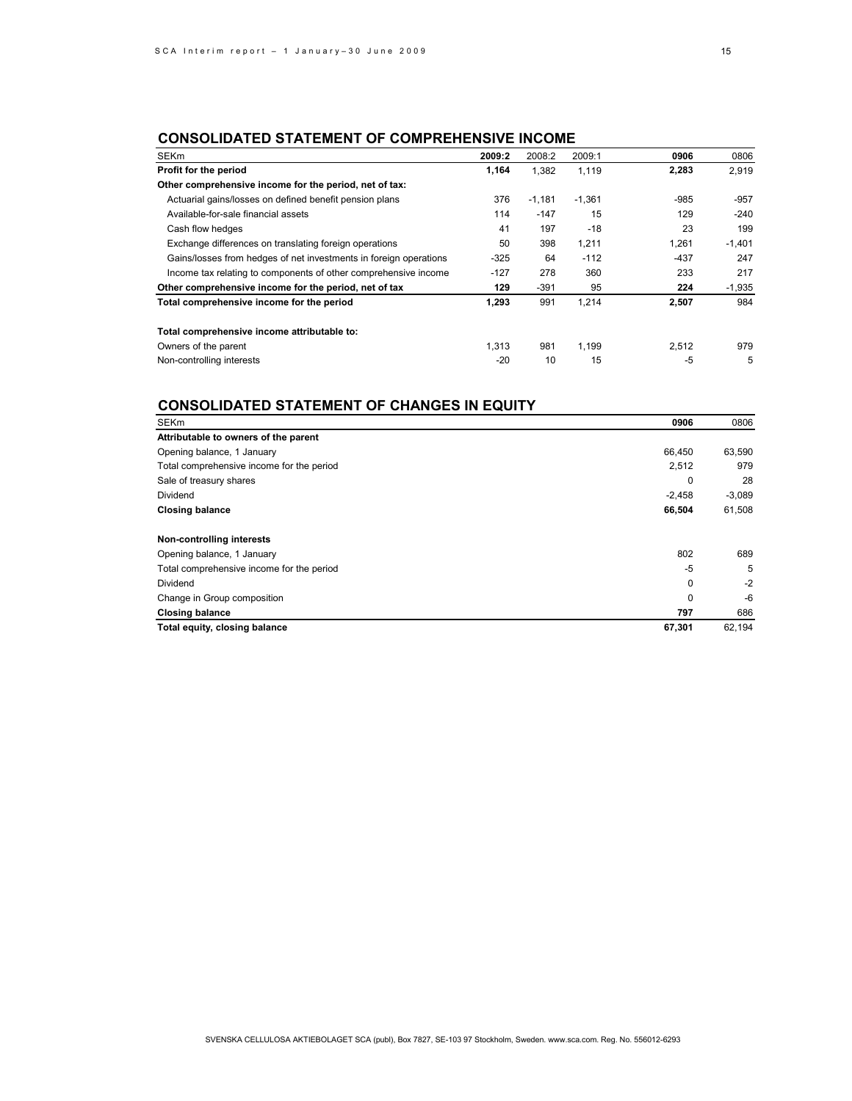# **CONSOLIDATED STATEMENT OF COMPREHENSIVE INCOME**

| <b>SEKm</b>                                                       | 2009:2 | 2008:2   | 2009:1   | 0906   | 0806     |
|-------------------------------------------------------------------|--------|----------|----------|--------|----------|
| Profit for the period                                             | 1,164  | 1,382    | 1.119    | 2,283  | 2,919    |
| Other comprehensive income for the period, net of tax:            |        |          |          |        |          |
| Actuarial gains/losses on defined benefit pension plans           | 376    | $-1,181$ | $-1.361$ | -985   | -957     |
| Available-for-sale financial assets                               | 114    | $-147$   | 15       | 129    | -240     |
| Cash flow hedges                                                  | 41     | 197      | $-18$    | 23     | 199      |
| Exchange differences on translating foreign operations            | 50     | 398      | 1.211    | 1,261  | $-1,401$ |
| Gains/losses from hedges of net investments in foreign operations | $-325$ | 64       | $-112$   | $-437$ | 247      |
| Income tax relating to components of other comprehensive income   | $-127$ | 278      | 360      | 233    | 217      |
| Other comprehensive income for the period, net of tax             | 129    | $-391$   | 95       | 224    | $-1,935$ |
| Total comprehensive income for the period                         | 1.293  | 991      | 1.214    | 2,507  | 984      |
| Total comprehensive income attributable to:                       |        |          |          |        |          |
| Owners of the parent                                              | 1,313  | 981      | 1.199    | 2.512  | 979      |
| Non-controlling interests                                         | $-20$  | 10       | 15       | $-5$   | 5        |

# **CONSOLIDATED STATEMENT OF CHANGES IN EQUITY**

| <b>SEKm</b>                               | 0906     | 0806     |
|-------------------------------------------|----------|----------|
| Attributable to owners of the parent      |          |          |
| Opening balance, 1 January                | 66,450   | 63,590   |
| Total comprehensive income for the period | 2,512    | 979      |
| Sale of treasury shares                   | 0        | 28       |
| Dividend                                  | $-2,458$ | $-3,089$ |
| <b>Closing balance</b>                    | 66,504   | 61,508   |
| Non-controlling interests                 |          |          |
| Opening balance, 1 January                | 802      | 689      |
| Total comprehensive income for the period | $-5$     | 5        |
| Dividend                                  | 0        | $-2$     |
| Change in Group composition               | 0        | -6       |
| <b>Closing balance</b>                    | 797      | 686      |
| Total equity, closing balance             | 67,301   | 62.194   |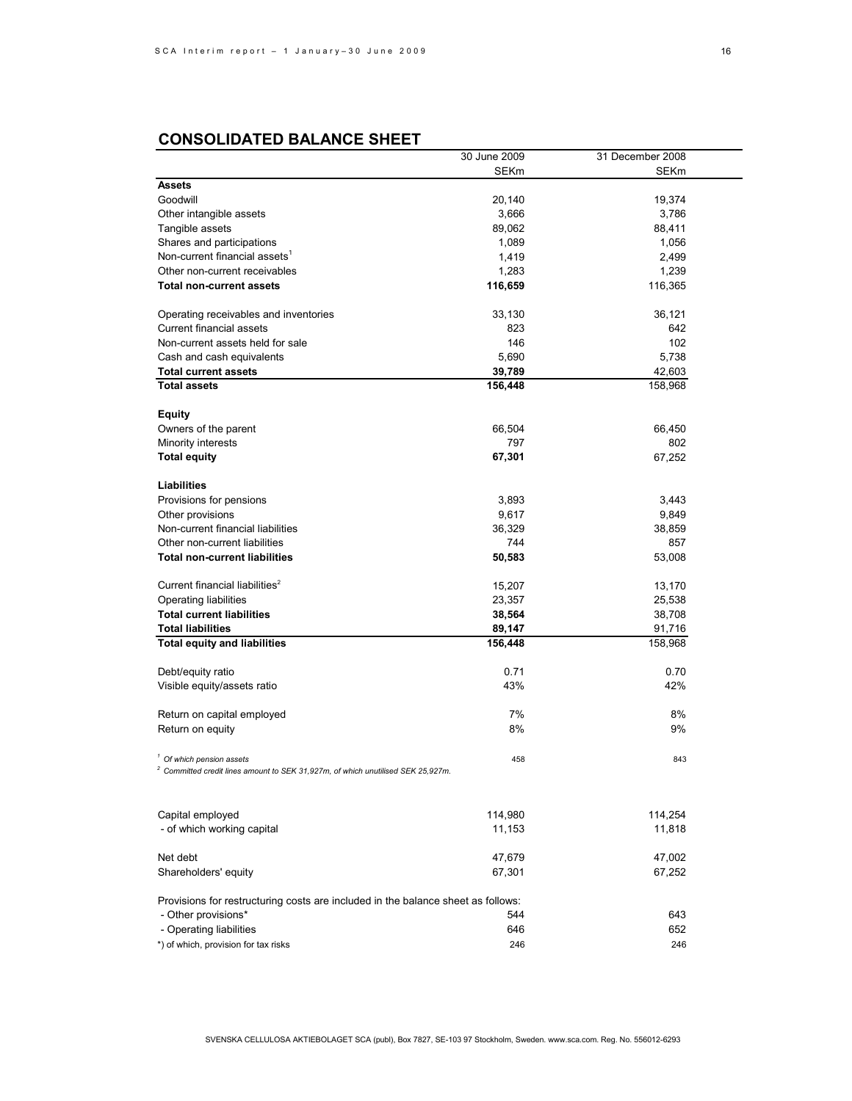# **CONSOLIDATED BALANCE SHEET**

|                                                                                    | 30 June 2009 | 31 December 2008 |  |
|------------------------------------------------------------------------------------|--------------|------------------|--|
|                                                                                    | <b>SEKm</b>  | SEKm             |  |
| <b>Assets</b>                                                                      |              |                  |  |
| Goodwill                                                                           | 20,140       | 19,374           |  |
| Other intangible assets                                                            | 3,666        | 3,786            |  |
| Tangible assets                                                                    | 89,062       | 88,411           |  |
|                                                                                    | 1,089        |                  |  |
| Shares and participations<br>Non-current financial assets <sup>1</sup>             |              | 1,056            |  |
|                                                                                    | 1,419        | 2,499            |  |
| Other non-current receivables                                                      | 1,283        | 1,239            |  |
| <b>Total non-current assets</b>                                                    | 116,659      | 116,365          |  |
|                                                                                    |              |                  |  |
| Operating receivables and inventories                                              | 33,130       | 36,121           |  |
| <b>Current financial assets</b>                                                    | 823          | 642              |  |
| Non-current assets held for sale                                                   | 146          | 102              |  |
| Cash and cash equivalents                                                          | 5,690        | 5,738            |  |
| <b>Total current assets</b>                                                        | 39,789       | 42,603           |  |
| <b>Total assets</b>                                                                | 156,448      | 158,968          |  |
|                                                                                    |              |                  |  |
| <b>Equity</b>                                                                      |              |                  |  |
| Owners of the parent                                                               | 66,504       | 66,450           |  |
| Minority interests                                                                 | 797          | 802              |  |
| <b>Total equity</b>                                                                | 67,301       | 67,252           |  |
|                                                                                    |              |                  |  |
| Liabilities                                                                        |              |                  |  |
| Provisions for pensions                                                            | 3,893        | 3,443            |  |
| Other provisions                                                                   | 9,617        | 9,849            |  |
| Non-current financial liabilities                                                  | 36,329       | 38,859           |  |
| Other non-current liabilities                                                      | 744          | 857              |  |
| <b>Total non-current liabilities</b>                                               | 50,583       | 53,008           |  |
|                                                                                    |              |                  |  |
| Current financial liabilities <sup>2</sup>                                         | 15,207       | 13,170           |  |
| Operating liabilities                                                              | 23,357       | 25,538           |  |
| <b>Total current liabilities</b>                                                   |              |                  |  |
|                                                                                    | 38,564       | 38,708           |  |
| <b>Total liabilities</b>                                                           | 89,147       | 91,716           |  |
| <b>Total equity and liabilities</b>                                                | 156,448      | 158,968          |  |
| Debt/equity ratio                                                                  | 0.71         | 0.70             |  |
|                                                                                    | 43%          | 42%              |  |
| Visible equity/assets ratio                                                        |              |                  |  |
| Return on capital employed                                                         | 7%           | 8%               |  |
| Return on equity                                                                   | 8%           | 9%               |  |
|                                                                                    |              |                  |  |
| $1$ Of which pension assets                                                        | 458          | 843              |  |
| $2$ Committed credit lines amount to SEK 31,927m, of which unutilised SEK 25,927m. |              |                  |  |
|                                                                                    |              |                  |  |
|                                                                                    |              |                  |  |
| Capital employed                                                                   | 114,980      | 114,254          |  |
| - of which working capital                                                         | 11,153       | 11,818           |  |
|                                                                                    |              |                  |  |
| Net debt                                                                           | 47,679       | 47,002           |  |
| Shareholders' equity                                                               | 67,301       | 67,252           |  |
|                                                                                    |              |                  |  |
| Provisions for restructuring costs are included in the balance sheet as follows:   |              |                  |  |
| - Other provisions*                                                                | 544          | 643              |  |
| - Operating liabilities                                                            | 646          | 652              |  |
|                                                                                    |              |                  |  |
| *) of which, provision for tax risks                                               | 246          | 246              |  |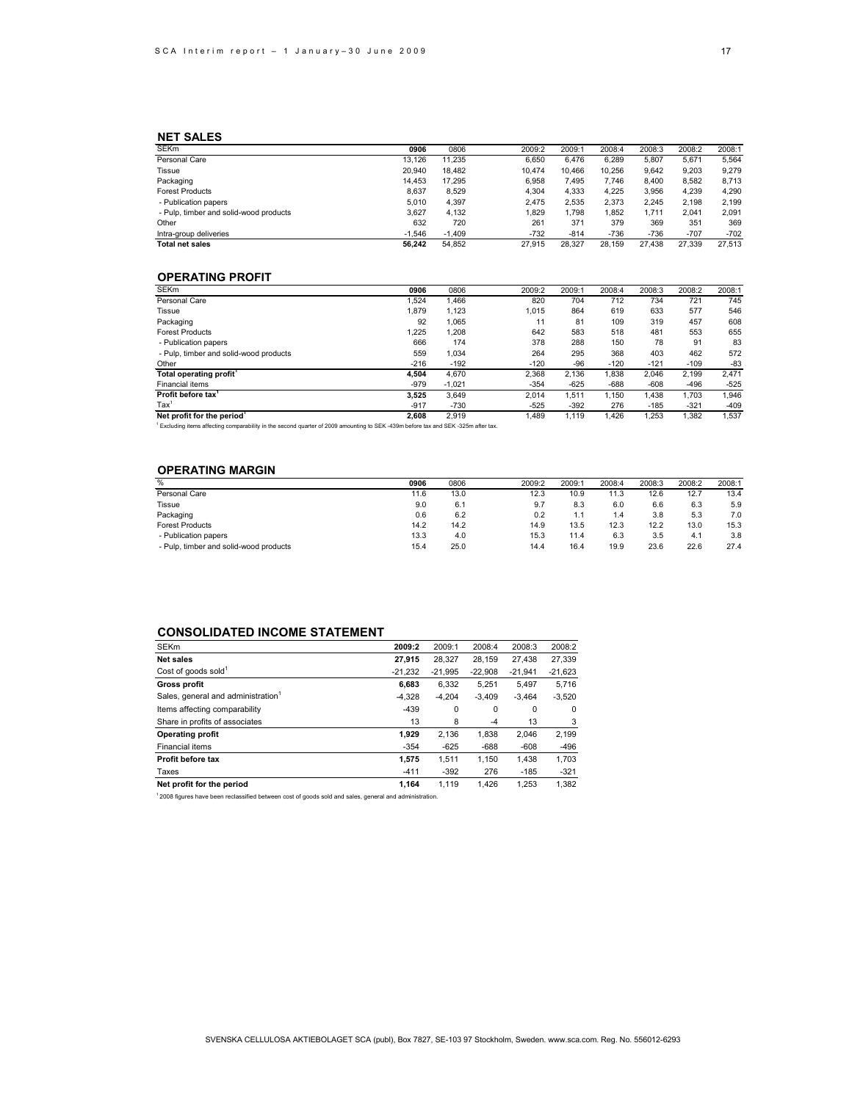### **NET SALES**

| <b>SEKm</b>                            | 0906     | 0806     | 2009:2 | 2009:1 | 2008:4 | 2008:3 | 2008:2 | 2008:1 |
|----------------------------------------|----------|----------|--------|--------|--------|--------|--------|--------|
| Personal Care                          | 13.126   | 11.235   | 6.650  | 6.476  | 6.289  | 5.807  | 5.671  | 5,564  |
| Tissue                                 | 20,940   | 18.482   | 10.474 | 10.466 | 10.256 | 9.642  | 9.203  | 9.279  |
| Packaging                              | 14.453   | 17.295   | 6.958  | 7.495  | 7.746  | 8.400  | 8.582  | 8,713  |
| <b>Forest Products</b>                 | 8.637    | 8.529    | 4.304  | 4.333  | 4.225  | 3.956  | 4.239  | 4,290  |
| - Publication papers                   | 5.010    | 4.397    | 2.475  | 2.535  | 2,373  | 2.245  | 2.198  | 2,199  |
| - Pulp, timber and solid-wood products | 3.627    | 4.132    | 1.829  | 1.798  | 1.852  | 1.711  | 2.041  | 2,091  |
| Other                                  | 632      | 720      | 261    | 371    | 379    | 369    | 351    | 369    |
| Intra-group deliveries                 | $-1.546$ | $-1.409$ | $-732$ | $-814$ | $-736$ | $-736$ | $-707$ | $-702$ |
| <b>Total net sales</b>                 | 56.242   | 54.852   | 27.915 | 28.327 | 28.159 | 27.438 | 27.339 | 27.513 |

### **OPERATING PROFIT**

| <b>SEKm</b>                                                                                                                    | 0906   | 0806     | 2009:2 | 2009:1 | 2008:4 | 2008:3 | 2008:2 | 2008:1 |
|--------------------------------------------------------------------------------------------------------------------------------|--------|----------|--------|--------|--------|--------|--------|--------|
| Personal Care                                                                                                                  | .524   | 1.466    | 820    | 704    | 712    | 734    | 721    | 745    |
| Tissue                                                                                                                         | 1.879  | 1.123    | 1.015  | 864    | 619    | 633    | 577    | 546    |
| Packaging                                                                                                                      | 92     | 1.065    | 11     | 81     | 109    | 319    | 457    | 608    |
| <b>Forest Products</b>                                                                                                         | 1.225  | 1,208    | 642    | 583    | 518    | 481    | 553    | 655    |
| - Publication papers                                                                                                           | 666    | 174      | 378    | 288    | 150    | 78     | 91     | 83     |
| - Pulp, timber and solid-wood products                                                                                         | 559    | 1.034    | 264    | 295    | 368    | 403    | 462    | 572    |
| Other                                                                                                                          | $-216$ | $-192$   | $-120$ | $-96$  | $-120$ | $-121$ | $-109$ | $-83$  |
| Total operating profit <sup>1</sup>                                                                                            | 4.504  | 4.670    | 2.368  | 2.136  | 1,838  | 2.046  | 2.199  | 2,471  |
| Financial items                                                                                                                | $-979$ | $-1.021$ | $-354$ | $-625$ | $-688$ | $-608$ | $-496$ | $-525$ |
| Profit before tax <sup>1</sup>                                                                                                 | 3.525  | 3.649    | 2.014  | 1.511  | 1.150  | 1.438  | 1.703  | 1.946  |
| Tax <sup>1</sup>                                                                                                               | $-917$ | $-730$   | $-525$ | $-392$ | 276    | $-185$ | $-321$ | $-409$ |
| Net profit for the period                                                                                                      | 2.608  | 2.919    | 1.489  | 1,119  | 1.426  | 1,253  | 1,382  | 1,537  |
| Excluding items affecting comparability in the second quarter of 2009 amounting to SEK-439m before tax and SEK-325m after tax. |        |          |        |        |        |        |        |        |

### **OPERATING MARGIN**

| $\frac{0}{0}$                          | 0906 | 0806 | 2009:2 | 2009:1 | 2008:4 | 2008:3 | 2008:2 | 2008:1 |
|----------------------------------------|------|------|--------|--------|--------|--------|--------|--------|
| Personal Care                          | 11.6 | 13.0 | 12.3   | 10.9   | 11.3   | 12.6   | 12.7   | 13.4   |
| Tissue                                 | 9.0  | 6.1  | 9.7    | 8.3    | 6.0    | 6.6    | 6.3    | 5.9    |
| Packaging                              | 0.6  | 6.2  | 0.2    | 1.1    | 1.4    | 3.8    | 5.3    | 7.0    |
| <b>Forest Products</b>                 | 14.2 | 14.2 | 14.9   | 13.5   | 12.3   | 12.2   | 13.0   | 15.3   |
| - Publication papers                   | 13.3 | 4.0  | 15.3   | 11.4   | 6.3    | 3.5    | 4.1    | 3.8    |
| - Pulp, timber and solid-wood products | 15.4 | 25.0 | 14.4   | 16.4   | 19.9   | 23.6   | 22.6   | 27.4   |

## **CONSOLIDATED INCOME STATEMENT**

| <b>SEKm</b>                                    | 2009:2    | 2009:1    | 2008:4    | 2008:3    | 2008:2    |
|------------------------------------------------|-----------|-----------|-----------|-----------|-----------|
| <b>Net sales</b>                               | 27,915    | 28.327    | 28.159    | 27.438    | 27,339    |
| Cost of goods sold <sup>1</sup>                | $-21.232$ | $-21.995$ | $-22.908$ | $-21.941$ | $-21,623$ |
| <b>Gross profit</b>                            | 6.683     | 6.332     | 5.251     | 5.497     | 5,716     |
| Sales, general and administration <sup>1</sup> | $-4.328$  | $-4.204$  | $-3.409$  | $-3.464$  | $-3,520$  |
| Items affecting comparability                  | $-439$    | 0         | 0         | $\Omega$  | 0         |
| Share in profits of associates                 | 13        | 8         | $-4$      | 13        | 3         |
| <b>Operating profit</b>                        | 1.929     | 2.136     | 1.838     | 2.046     | 2,199     |
| Financial items                                | $-354$    | $-625$    | $-688$    | $-608$    | $-496$    |
| Profit before tax                              | 1.575     | 1.511     | 1.150     | 1.438     | 1,703     |
| Taxes                                          | $-411$    | $-392$    | 276       | $-185$    | $-321$    |
| Net profit for the period                      | 1,164     | 1.119     | 1.426     | 1.253     | 1.382     |

1 2008 figures have been reclassified between cost of goods sold and sales, general and administration.